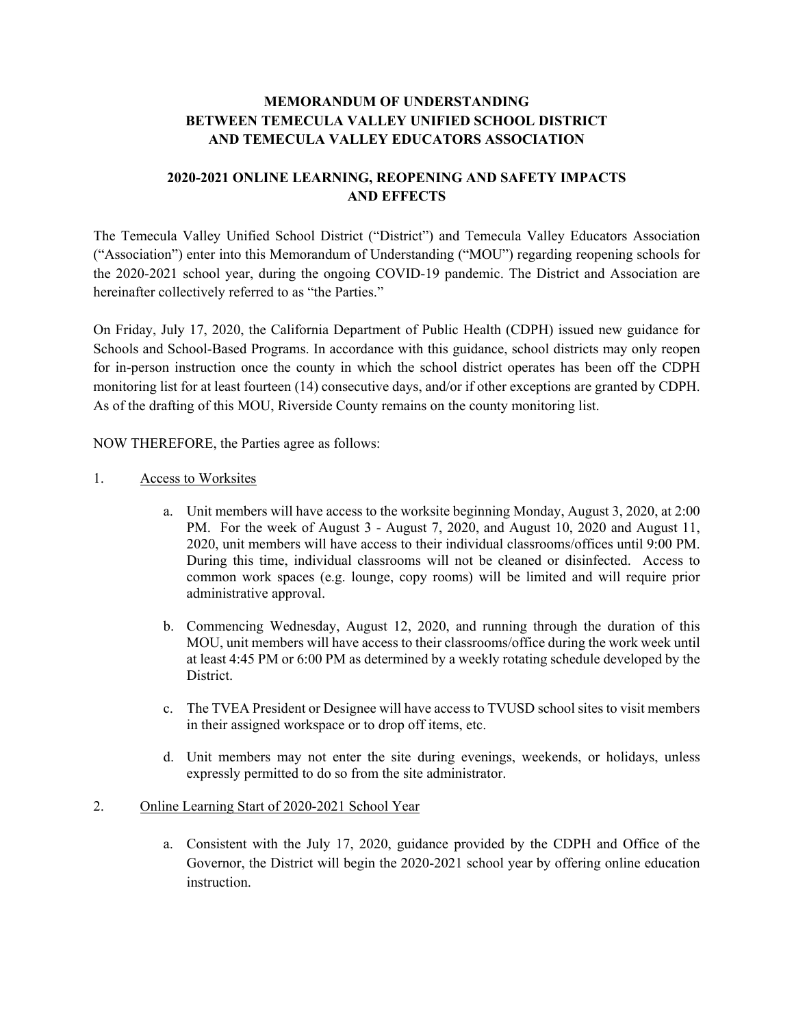### **MEMORANDUM OF UNDERSTANDING BETWEEN TEMECULA VALLEY UNIFIED SCHOOL DISTRICT AND TEMECULA VALLEY EDUCATORS ASSOCIATION**

### **2020-2021 ONLINE LEARNING, REOPENING AND SAFETY IMPACTS AND EFFECTS**

The Temecula Valley Unified School District ("District") and Temecula Valley Educators Association ("Association") enter into this Memorandum of Understanding ("MOU") regarding reopening schools for the 2020-2021 school year, during the ongoing COVID-19 pandemic. The District and Association are hereinafter collectively referred to as "the Parties."

On Friday, July 17, 2020, the California Department of Public Health (CDPH) issued new guidance for Schools and School-Based Programs. In accordance with this guidance, school districts may only reopen for in-person instruction once the county in which the school district operates has been off the CDPH monitoring list for at least fourteen (14) consecutive days, and/or if other exceptions are granted by CDPH. As of the drafting of this MOU, Riverside County remains on the county monitoring list.

NOW THEREFORE, the Parties agree as follows:

- 1. Access to Worksites
	- a. Unit members will have access to the worksite beginning Monday, August 3, 2020, at 2:00 PM. For the week of August 3 - August 7, 2020, and August 10, 2020 and August 11, 2020, unit members will have access to their individual classrooms/offices until 9:00 PM. During this time, individual classrooms will not be cleaned or disinfected. Access to common work spaces (e.g. lounge, copy rooms) will be limited and will require prior administrative approval.
	- b. Commencing Wednesday, August 12, 2020, and running through the duration of this MOU, unit members will have access to their classrooms/office during the work week until at least 4:45 PM or 6:00 PM as determined by a weekly rotating schedule developed by the District.
	- c. The TVEA President or Designee will have access to TVUSD school sites to visit members in their assigned workspace or to drop off items, etc.
	- d. Unit members may not enter the site during evenings, weekends, or holidays, unless expressly permitted to do so from the site administrator.

### 2. Online Learning Start of 2020-2021 School Year

a. Consistent with the July 17, 2020, guidance provided by the CDPH and Office of the Governor, the District will begin the 2020-2021 school year by offering online education instruction.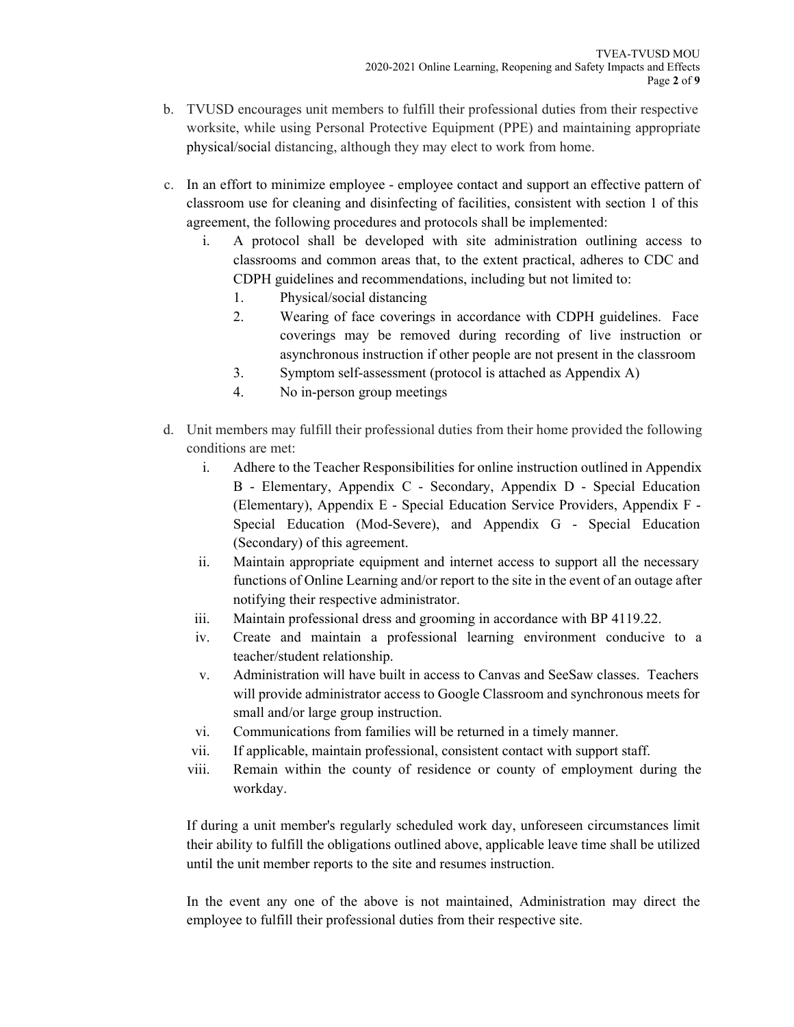- b. TVUSD encourages unit members to fulfill their professional duties from their respective worksite, while using Personal Protective Equipment (PPE) and maintaining appropriate physical/social distancing, although they may elect to work from home.
- c. In an effort to minimize employee employee contact and support an effective pattern of classroom use for cleaning and disinfecting of facilities, consistent with section 1 of this agreement, the following procedures and protocols shall be implemented:
	- i. A protocol shall be developed with site administration outlining access to classrooms and common areas that, to the extent practical, adheres to CDC and CDPH guidelines and recommendations, including but not limited to:
		- 1. Physical/social distancing
		- 2. Wearing of face coverings in accordance with CDPH guidelines. Face coverings may be removed during recording of live instruction or asynchronous instruction if other people are not present in the classroom
		- 3. Symptom self-assessment (protocol is attached as Appendix A)
		- 4. No in-person group meetings
- d. Unit members may fulfill their professional duties from their home provided the following conditions are met:
	- i. Adhere to the Teacher Responsibilities for online instruction outlined in Appendix B - Elementary, Appendix C - Secondary, Appendix D - Special Education (Elementary), Appendix E - Special Education Service Providers, Appendix F - Special Education (Mod-Severe), and Appendix G - Special Education (Secondary) of this agreement.
	- ii. Maintain appropriate equipment and internet access to support all the necessary functions of Online Learning and/or report to the site in the event of an outage after notifying their respective administrator.
	- iii. Maintain professional dress and grooming in accordance with BP 4119.22.
	- iv. Create and maintain a professional learning environment conducive to a teacher/student relationship.
	- v. Administration will have built in access to Canvas and SeeSaw classes. Teachers will provide administrator access to Google Classroom and synchronous meets for small and/or large group instruction.
	- vi. Communications from families will be returned in a timely manner.
	- vii. If applicable, maintain professional, consistent contact with support staff.
	- viii. Remain within the county of residence or county of employment during the workday.

If during a unit member's regularly scheduled work day, unforeseen circumstances limit their ability to fulfill the obligations outlined above, applicable leave time shall be utilized until the unit member reports to the site and resumes instruction.

In the event any one of the above is not maintained, Administration may direct the employee to fulfill their professional duties from their respective site.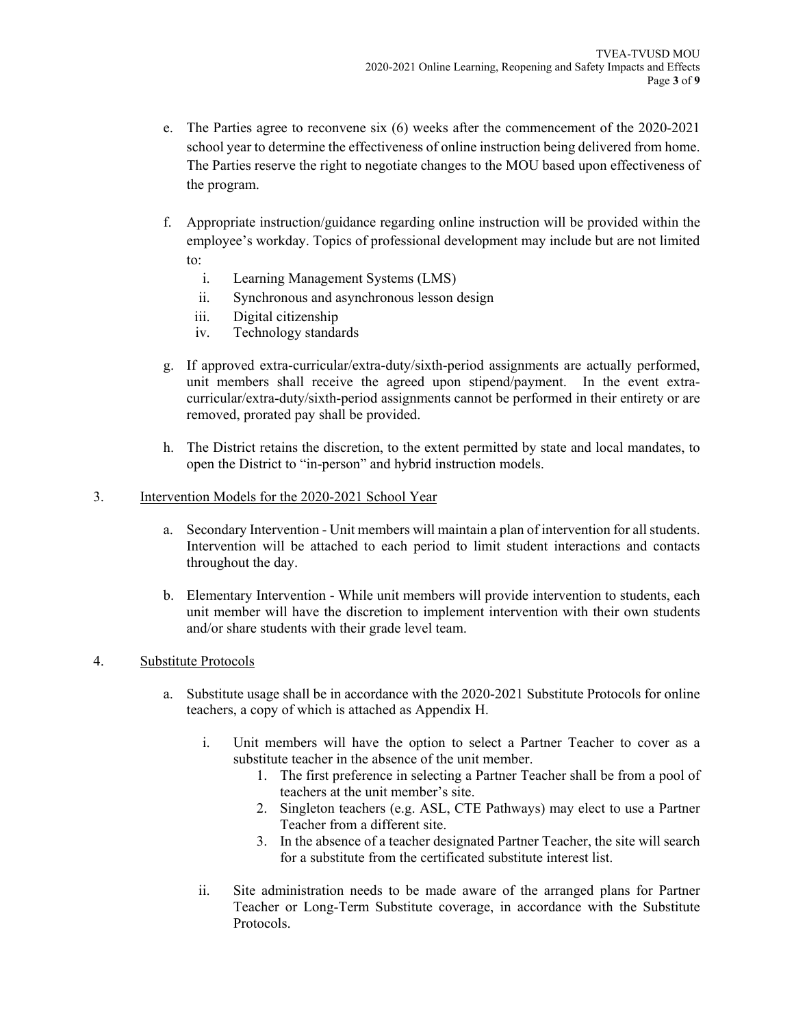- e. The Parties agree to reconvene six (6) weeks after the commencement of the 2020-2021 school year to determine the effectiveness of online instruction being delivered from home. The Parties reserve the right to negotiate changes to the MOU based upon effectiveness of the program.
- f. Appropriate instruction/guidance regarding online instruction will be provided within the employee's workday. Topics of professional development may include but are not limited to:
	- i. Learning Management Systems (LMS)
	- ii. Synchronous and asynchronous lesson design
	- iii. Digital citizenship
	- iv. Technology standards
- g. If approved extra-curricular/extra-duty/sixth-period assignments are actually performed, unit members shall receive the agreed upon stipend/payment. In the event extracurricular/extra-duty/sixth-period assignments cannot be performed in their entirety or are removed, prorated pay shall be provided.
- h. The District retains the discretion, to the extent permitted by state and local mandates, to open the District to "in-person" and hybrid instruction models.

### 3. Intervention Models for the 2020-2021 School Year

- a. Secondary Intervention Unit members will maintain a plan of intervention for all students. Intervention will be attached to each period to limit student interactions and contacts throughout the day.
- b. Elementary Intervention While unit members will provide intervention to students, each unit member will have the discretion to implement intervention with their own students and/or share students with their grade level team.

### 4. Substitute Protocols

- a. Substitute usage shall be in accordance with the 2020-2021 Substitute Protocols for online teachers, a copy of which is attached as Appendix H.
	- i. Unit members will have the option to select a Partner Teacher to cover as a substitute teacher in the absence of the unit member.
		- 1. The first preference in selecting a Partner Teacher shall be from a pool of teachers at the unit member's site.
		- 2. Singleton teachers (e.g. ASL, CTE Pathways) may elect to use a Partner Teacher from a different site.
		- 3. In the absence of a teacher designated Partner Teacher, the site will search for a substitute from the certificated substitute interest list.
	- ii. Site administration needs to be made aware of the arranged plans for Partner Teacher or Long-Term Substitute coverage, in accordance with the Substitute Protocols.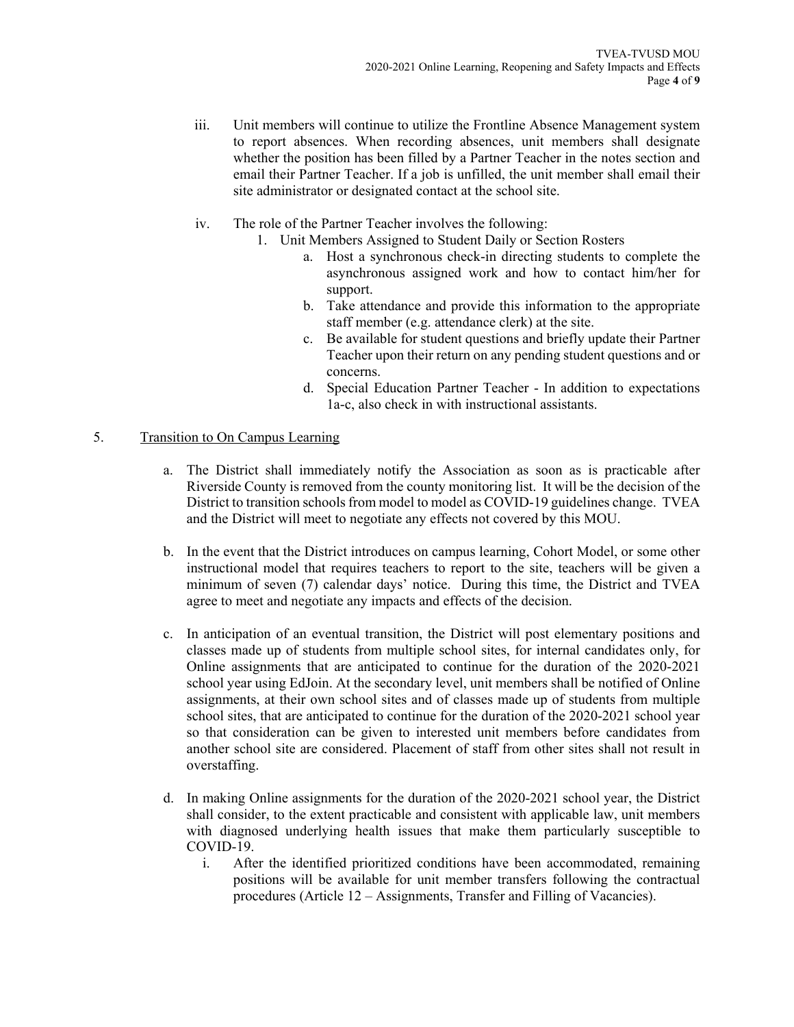- iii. Unit members will continue to utilize the Frontline Absence Management system to report absences. When recording absences, unit members shall designate whether the position has been filled by a Partner Teacher in the notes section and email their Partner Teacher. If a job is unfilled, the unit member shall email their site administrator or designated contact at the school site.
- iv. The role of the Partner Teacher involves the following:
	- 1. Unit Members Assigned to Student Daily or Section Rosters
		- a. Host a synchronous check-in directing students to complete the asynchronous assigned work and how to contact him/her for support.
		- b. Take attendance and provide this information to the appropriate staff member (e.g. attendance clerk) at the site.
		- c. Be available for student questions and briefly update their Partner Teacher upon their return on any pending student questions and or concerns.
		- d. Special Education Partner Teacher In addition to expectations 1a-c, also check in with instructional assistants.

### 5. Transition to On Campus Learning

- a. The District shall immediately notify the Association as soon as is practicable after Riverside County is removed from the county monitoring list. It will be the decision of the District to transition schools from model to model as COVID-19 guidelines change. TVEA and the District will meet to negotiate any effects not covered by this MOU.
- b. In the event that the District introduces on campus learning, Cohort Model, or some other instructional model that requires teachers to report to the site, teachers will be given a minimum of seven (7) calendar days' notice. During this time, the District and TVEA agree to meet and negotiate any impacts and effects of the decision.
- c. In anticipation of an eventual transition, the District will post elementary positions and classes made up of students from multiple school sites, for internal candidates only, for Online assignments that are anticipated to continue for the duration of the 2020-2021 school year using EdJoin. At the secondary level, unit members shall be notified of Online assignments, at their own school sites and of classes made up of students from multiple school sites, that are anticipated to continue for the duration of the 2020-2021 school year so that consideration can be given to interested unit members before candidates from another school site are considered. Placement of staff from other sites shall not result in overstaffing.
- d. In making Online assignments for the duration of the 2020-2021 school year, the District shall consider, to the extent practicable and consistent with applicable law, unit members with diagnosed underlying health issues that make them particularly susceptible to COVID-19.
	- i. After the identified prioritized conditions have been accommodated, remaining positions will be available for unit member transfers following the contractual procedures (Article 12 – Assignments, Transfer and Filling of Vacancies).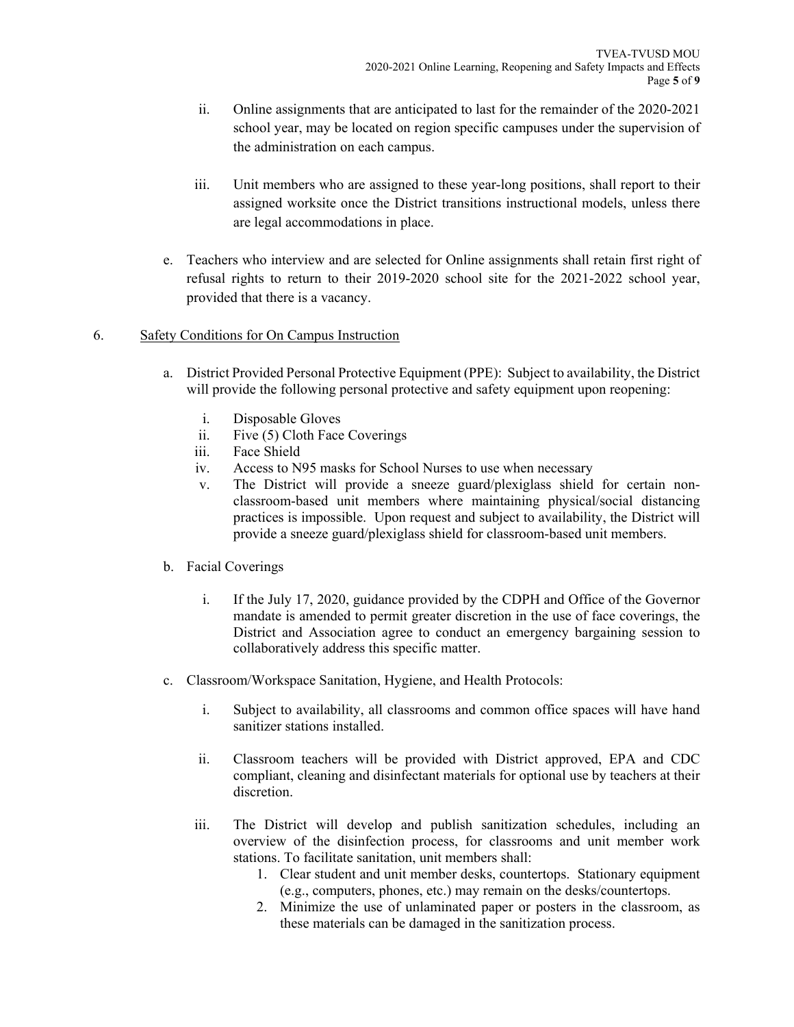- ii. Online assignments that are anticipated to last for the remainder of the 2020-2021 school year, may be located on region specific campuses under the supervision of the administration on each campus.
- iii. Unit members who are assigned to these year-long positions, shall report to their assigned worksite once the District transitions instructional models, unless there are legal accommodations in place.
- e. Teachers who interview and are selected for Online assignments shall retain first right of refusal rights to return to their 2019-2020 school site for the 2021-2022 school year, provided that there is a vacancy.

### 6. Safety Conditions for On Campus Instruction

- a. District Provided Personal Protective Equipment (PPE): Subject to availability, the District will provide the following personal protective and safety equipment upon reopening:
	- i. Disposable Gloves
	- ii. Five (5) Cloth Face Coverings
	- iii. Face Shield
	- iv. Access to N95 masks for School Nurses to use when necessary
	- v. The District will provide a sneeze guard/plexiglass shield for certain nonclassroom-based unit members where maintaining physical/social distancing practices is impossible. Upon request and subject to availability, the District will provide a sneeze guard/plexiglass shield for classroom-based unit members.
- b. Facial Coverings
	- i. If the July 17, 2020, guidance provided by the CDPH and Office of the Governor mandate is amended to permit greater discretion in the use of face coverings, the District and Association agree to conduct an emergency bargaining session to collaboratively address this specific matter.
- c. Classroom/Workspace Sanitation, Hygiene, and Health Protocols:
	- i. Subject to availability, all classrooms and common office spaces will have hand sanitizer stations installed.
	- ii. Classroom teachers will be provided with District approved, EPA and CDC compliant, cleaning and disinfectant materials for optional use by teachers at their discretion.
	- iii. The District will develop and publish sanitization schedules, including an overview of the disinfection process, for classrooms and unit member work stations. To facilitate sanitation, unit members shall:
		- 1. Clear student and unit member desks, countertops. Stationary equipment (e.g., computers, phones, etc.) may remain on the desks/countertops.
		- 2. Minimize the use of unlaminated paper or posters in the classroom, as these materials can be damaged in the sanitization process.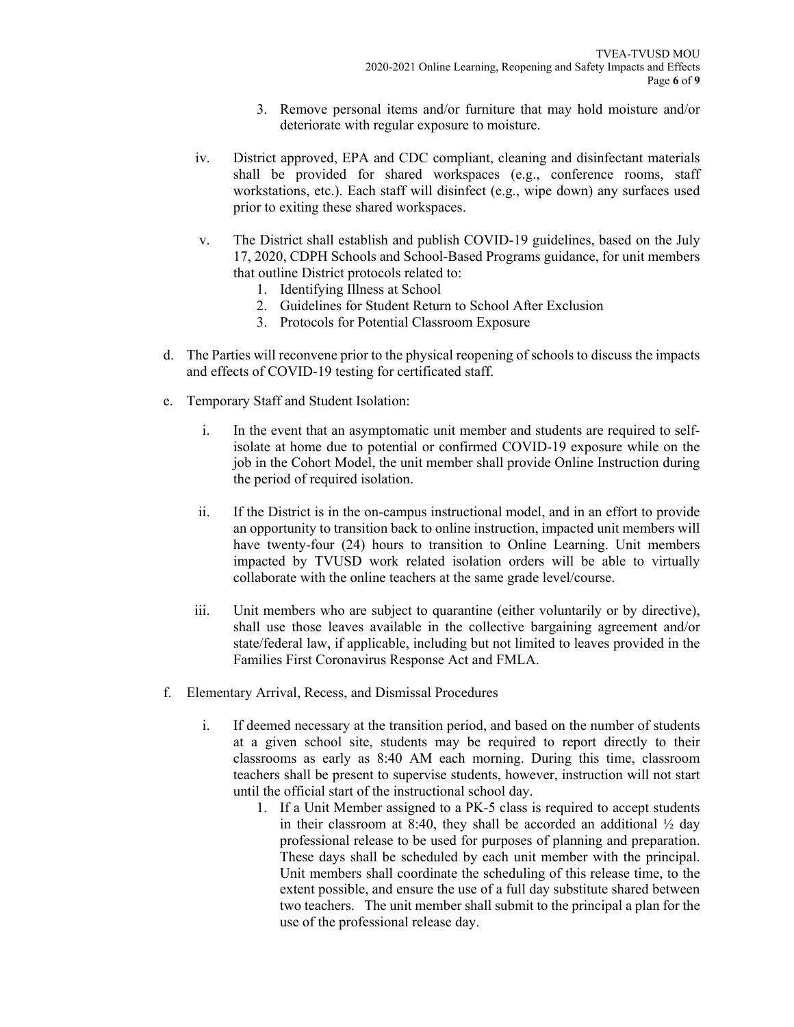- 3. Remove personal items and/or furniture that may hold moisture and/or deteriorate with regular exposure to moisture.
- iv. District approved, EPA and CDC compliant, cleaning and disinfectant materials shall be provided for shared workspaces (e.g., conference rooms, staff workstations, etc.). Each staff will disinfect (e.g., wipe down) any surfaces used prior to exiting these shared workspaces.
- v. The District shall establish and publish COVID-19 guidelines, based on the July 17, 2020, CDPH Schools and School-Based Programs guidance, for unit members that outline District protocols related to:
	- 1. Identifying Illness at School
	- 2. Guidelines for Student Return to School After Exclusion
	- 3. Protocols for Potential Classroom Exposure
- d. The Parties will reconvene prior to the physical reopening of schools to discuss the impacts and effects of COVID-19 testing for certificated staff.
- e. Temporary Staff and Student Isolation:
	- i. In the event that an asymptomatic unit member and students are required to selfisolate at home due to potential or confirmed COVID-19 exposure while on the job in the Cohort Model, the unit member shall provide Online Instruction during the period of required isolation.
	- ii. If the District is in the on-campus instructional model, and in an effort to provide an opportunity to transition back to online instruction, impacted unit members will have twenty-four (24) hours to transition to Online Learning. Unit members impacted by TVUSD work related isolation orders will be able to virtually collaborate with the online teachers at the same grade level/course.
	- iii. Unit members who are subject to quarantine (either voluntarily or by directive), shall use those leaves available in the collective bargaining agreement and/or state/federal law, if applicable, including but not limited to leaves provided in the Families First Coronavirus Response Act and FMLA.
- f. Elementary Arrival, Recess, and Dismissal Procedures
	- i. If deemed necessary at the transition period, and based on the number of students at a given school site, students may be required to report directly to their classrooms as early as 8:40 AM each morning. During this time, classroom teachers shall be present to supervise students, however, instruction will not start until the official start of the instructional school day.
		- 1. If a Unit Member assigned to a PK-5 class is required to accept students in their classroom at 8:40, they shall be accorded an additional  $\frac{1}{2}$  day professional release to be used for purposes of planning and preparation. These days shall be scheduled by each unit member with the principal. Unit members shall coordinate the scheduling of this release time, to the extent possible, and ensure the use of a full day substitute shared between two teachers. The unit member shall submit to the principal a plan for the use of the professional release day.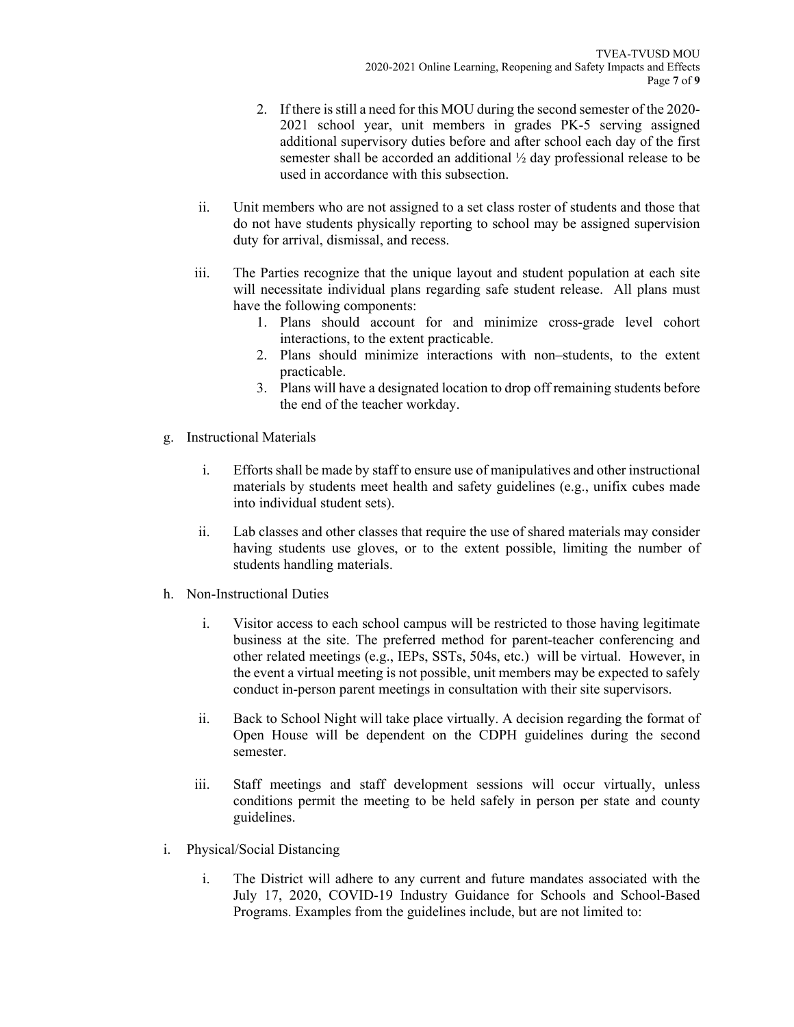- 2. If there is still a need for this MOU during the second semester of the 2020- 2021 school year, unit members in grades PK-5 serving assigned additional supervisory duties before and after school each day of the first semester shall be accorded an additional ½ day professional release to be used in accordance with this subsection.
- ii. Unit members who are not assigned to a set class roster of students and those that do not have students physically reporting to school may be assigned supervision duty for arrival, dismissal, and recess.
- iii. The Parties recognize that the unique layout and student population at each site will necessitate individual plans regarding safe student release. All plans must have the following components:
	- 1. Plans should account for and minimize cross-grade level cohort interactions, to the extent practicable.
	- 2. Plans should minimize interactions with non–students, to the extent practicable.
	- 3. Plans will have a designated location to drop off remaining students before the end of the teacher workday.
- g. Instructional Materials
	- i. Efforts shall be made by staff to ensure use of manipulatives and other instructional materials by students meet health and safety guidelines (e.g., unifix cubes made into individual student sets).
	- ii. Lab classes and other classes that require the use of shared materials may consider having students use gloves, or to the extent possible, limiting the number of students handling materials.
- h. Non-Instructional Duties
	- i. Visitor access to each school campus will be restricted to those having legitimate business at the site. The preferred method for parent-teacher conferencing and other related meetings (e.g., IEPs, SSTs, 504s, etc.) will be virtual. However, in the event a virtual meeting is not possible, unit members may be expected to safely conduct in-person parent meetings in consultation with their site supervisors.
	- ii. Back to School Night will take place virtually. A decision regarding the format of Open House will be dependent on the CDPH guidelines during the second semester.
	- iii. Staff meetings and staff development sessions will occur virtually, unless conditions permit the meeting to be held safely in person per state and county guidelines.
- i. Physical/Social Distancing
	- i. The District will adhere to any current and future mandates associated with the July 17, 2020, COVID-19 Industry Guidance for Schools and School-Based Programs. Examples from the guidelines include, but are not limited to: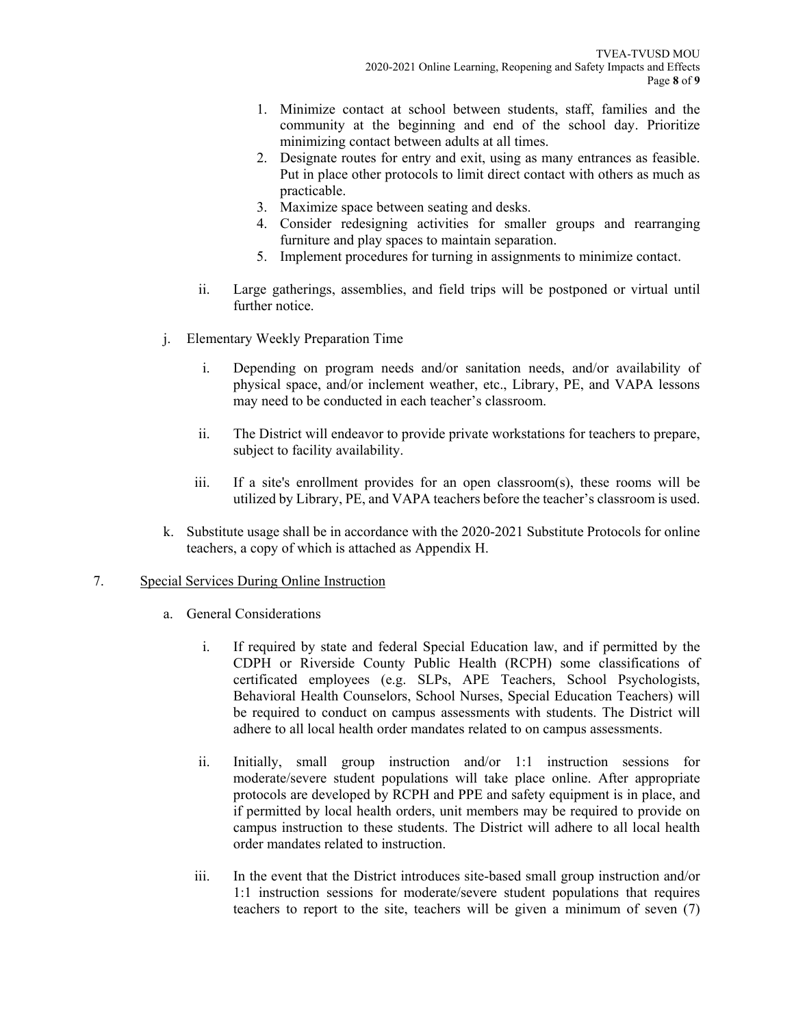- 1. Minimize contact at school between students, staff, families and the community at the beginning and end of the school day. Prioritize minimizing contact between adults at all times.
- 2. Designate routes for entry and exit, using as many entrances as feasible. Put in place other protocols to limit direct contact with others as much as practicable.
- 3. Maximize space between seating and desks.
- 4. Consider redesigning activities for smaller groups and rearranging furniture and play spaces to maintain separation.
- 5. Implement procedures for turning in assignments to minimize contact.
- ii. Large gatherings, assemblies, and field trips will be postponed or virtual until further notice.
- j. Elementary Weekly Preparation Time
	- i. Depending on program needs and/or sanitation needs, and/or availability of physical space, and/or inclement weather, etc., Library, PE, and VAPA lessons may need to be conducted in each teacher's classroom.
	- ii. The District will endeavor to provide private workstations for teachers to prepare, subject to facility availability.
	- iii. If a site's enrollment provides for an open classroom(s), these rooms will be utilized by Library, PE, and VAPA teachers before the teacher's classroom is used.
- k. Substitute usage shall be in accordance with the 2020-2021 Substitute Protocols for online teachers, a copy of which is attached as Appendix H.

#### 7. Special Services During Online Instruction

- a. General Considerations
	- i. If required by state and federal Special Education law, and if permitted by the CDPH or Riverside County Public Health (RCPH) some classifications of certificated employees (e.g. SLPs, APE Teachers, School Psychologists, Behavioral Health Counselors, School Nurses, Special Education Teachers) will be required to conduct on campus assessments with students. The District will adhere to all local health order mandates related to on campus assessments.
	- ii. Initially, small group instruction and/or 1:1 instruction sessions for moderate/severe student populations will take place online. After appropriate protocols are developed by RCPH and PPE and safety equipment is in place, and if permitted by local health orders, unit members may be required to provide on campus instruction to these students. The District will adhere to all local health order mandates related to instruction.
	- iii. In the event that the District introduces site-based small group instruction and/or 1:1 instruction sessions for moderate/severe student populations that requires teachers to report to the site, teachers will be given a minimum of seven (7)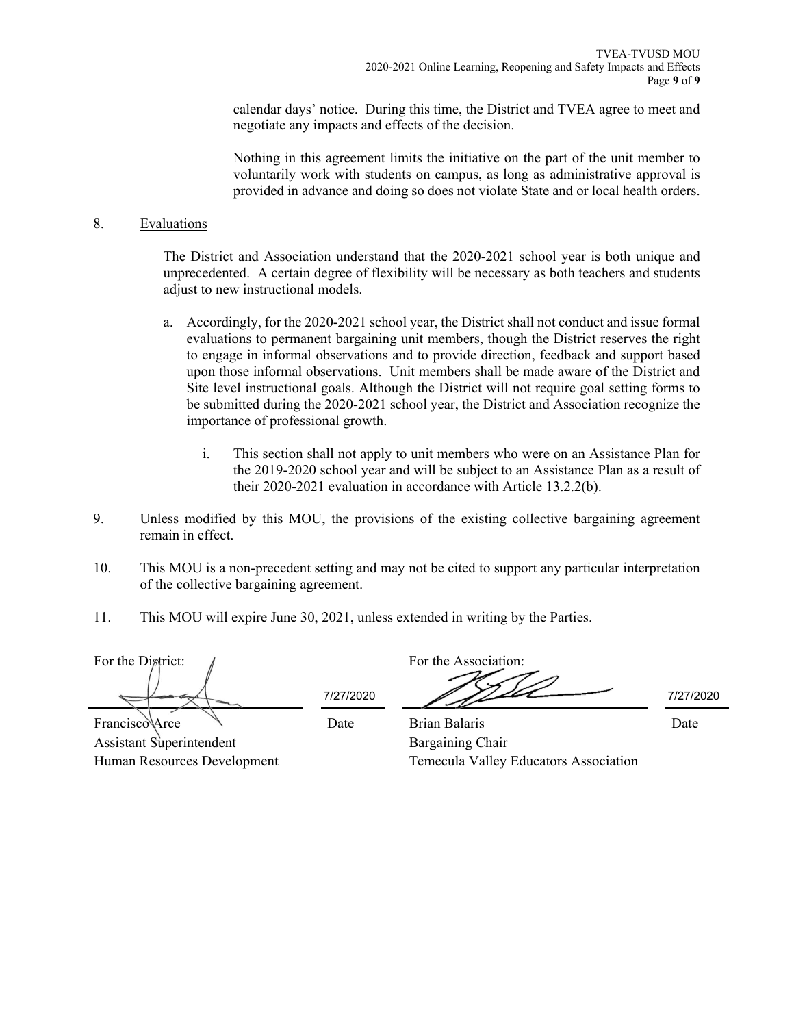calendar days' notice. During this time, the District and TVEA agree to meet and negotiate any impacts and effects of the decision.

Nothing in this agreement limits the initiative on the part of the unit member to voluntarily work with students on campus, as long as administrative approval is provided in advance and doing so does not violate State and or local health orders.

#### 8. Evaluations

The District and Association understand that the 2020-2021 school year is both unique and unprecedented. A certain degree of flexibility will be necessary as both teachers and students adjust to new instructional models.

- a. Accordingly, for the 2020-2021 school year, the District shall not conduct and issue formal evaluations to permanent bargaining unit members, though the District reserves the right to engage in informal observations and to provide direction, feedback and support based upon those informal observations. Unit members shall be made aware of the District and Site level instructional goals. Although the District will not require goal setting forms to be submitted during the 2020-2021 school year, the District and Association recognize the importance of professional growth.
	- i. This section shall not apply to unit members who were on an Assistance Plan for the 2019-2020 school year and will be subject to an Assistance Plan as a result of their 2020-2021 evaluation in accordance with Article 13.2.2(b).
- 9. Unless modified by this MOU, the provisions of the existing collective bargaining agreement remain in effect.
- 10. This MOU is a non-precedent setting and may not be cited to support any particular interpretation of the collective bargaining agreement.
- 11. This MOU will expire June 30, 2021, unless extended in writing by the Parties.

For the District:  $\sqrt{ }$ 

Date

7/27/2020 7/27/2020

Date

Francisco Arce Assistant Superintendent Human Resources Development

Brian Balaris Bargaining Chair Temecula Valley Educators Association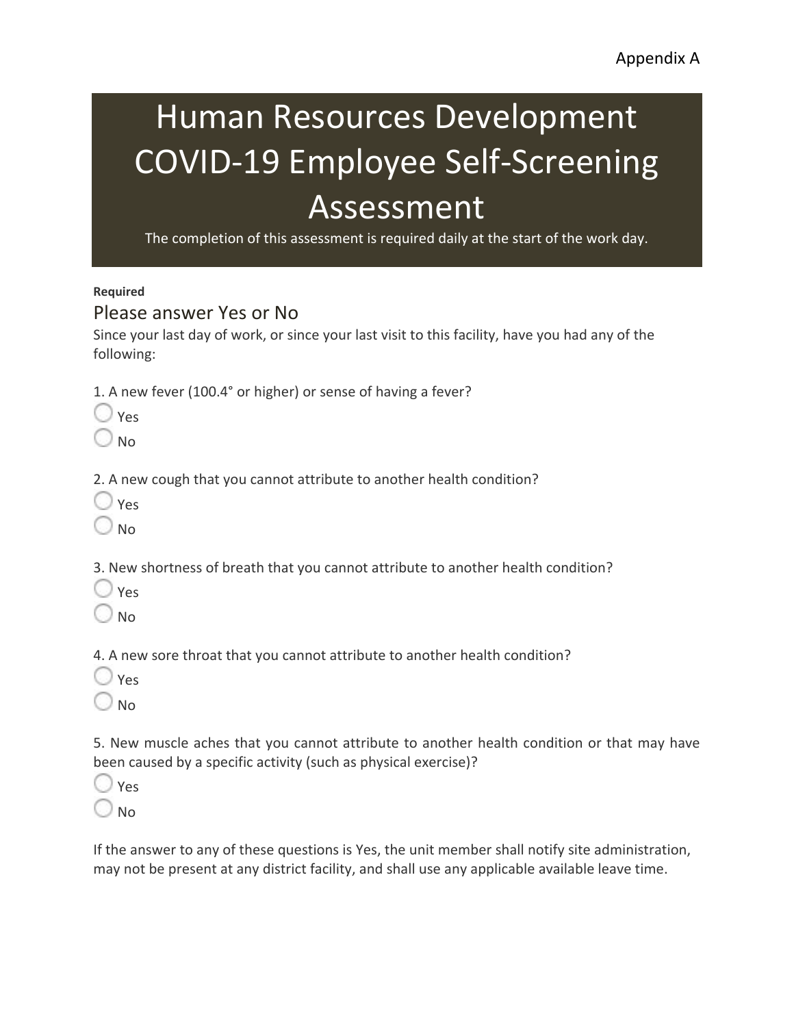# Human Resources Development COVID-19 Employee Self-Screening Assessment

The completion of this assessment is required daily at the start of the work day.

### **Required**

### Please answer Yes or No

Since your last day of work, or since your last visit to this facility, have you had any of the following:

1. A new fever (100.4° or higher) or sense of having a fever?

No

2. A new cough that you cannot attribute to another health condition?

- Yes
- No

3. New shortness of breath that you cannot attribute to another health condition?

- Yes
- $\Box$  No.

4. A new sore throat that you cannot attribute to another health condition?

- Yes
- No

5. New muscle aches that you cannot attribute to another health condition or that may have been caused by a specific activity (such as physical exercise)?

- Yes
- No

If the answer to any of these questions is Yes, the unit member shall notify site administration, may not be present at any district facility, and shall use any applicable available leave time.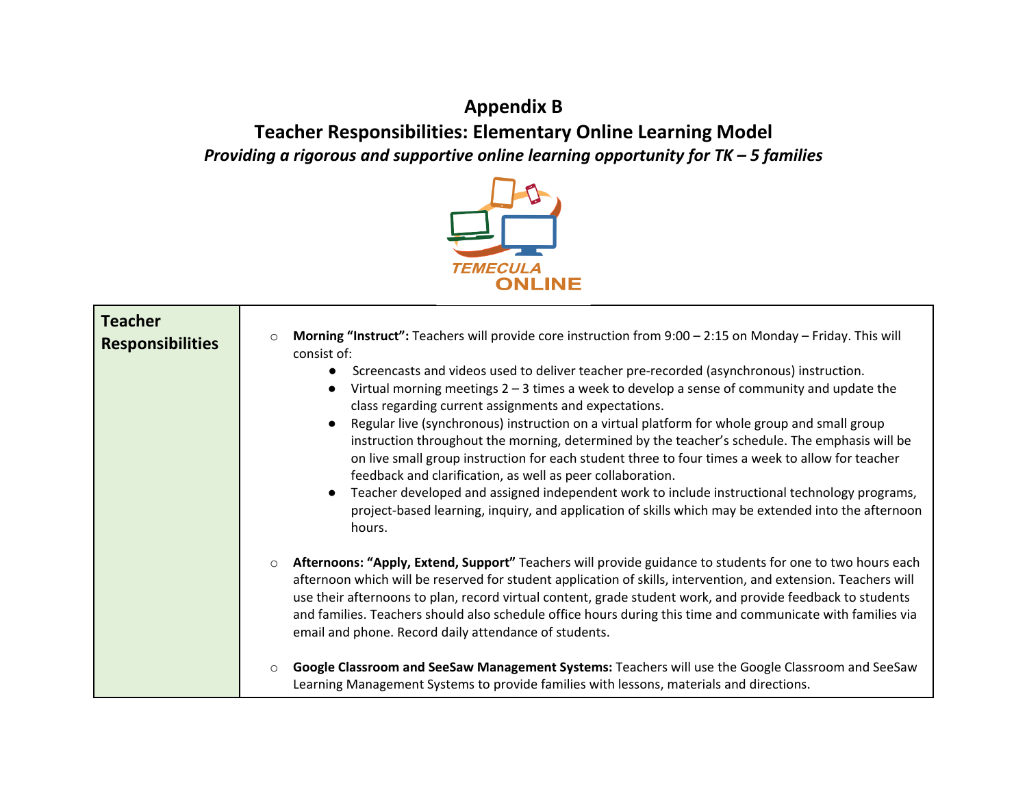# **Appendix B Teacher Responsibilities: Elementary Online Learning Model**  *Providing a rigorous and supportive online learning opportunity for TK – 5 families*



| <b>Teacher</b><br><b>Responsibilities</b> | Morning "Instruct": Teachers will provide core instruction from 9:00 - 2:15 on Monday - Friday. This will<br>$\circ$<br>consist of:<br>Screencasts and videos used to deliver teacher pre-recorded (asynchronous) instruction.<br>Virtual morning meetings $2 - 3$ times a week to develop a sense of community and update the<br>class regarding current assignments and expectations.<br>Regular live (synchronous) instruction on a virtual platform for whole group and small group<br>instruction throughout the morning, determined by the teacher's schedule. The emphasis will be<br>on live small group instruction for each student three to four times a week to allow for teacher<br>feedback and clarification, as well as peer collaboration.<br>Teacher developed and assigned independent work to include instructional technology programs,<br>project-based learning, inquiry, and application of skills which may be extended into the afternoon<br>hours. |
|-------------------------------------------|-------------------------------------------------------------------------------------------------------------------------------------------------------------------------------------------------------------------------------------------------------------------------------------------------------------------------------------------------------------------------------------------------------------------------------------------------------------------------------------------------------------------------------------------------------------------------------------------------------------------------------------------------------------------------------------------------------------------------------------------------------------------------------------------------------------------------------------------------------------------------------------------------------------------------------------------------------------------------------|
|                                           | Afternoons: "Apply, Extend, Support" Teachers will provide guidance to students for one to two hours each<br>$\circ$<br>afternoon which will be reserved for student application of skills, intervention, and extension. Teachers will<br>use their afternoons to plan, record virtual content, grade student work, and provide feedback to students<br>and families. Teachers should also schedule office hours during this time and communicate with families via<br>email and phone. Record daily attendance of students.                                                                                                                                                                                                                                                                                                                                                                                                                                                  |
|                                           | Google Classroom and SeeSaw Management Systems: Teachers will use the Google Classroom and SeeSaw<br>$\circ$<br>Learning Management Systems to provide families with lessons, materials and directions.                                                                                                                                                                                                                                                                                                                                                                                                                                                                                                                                                                                                                                                                                                                                                                       |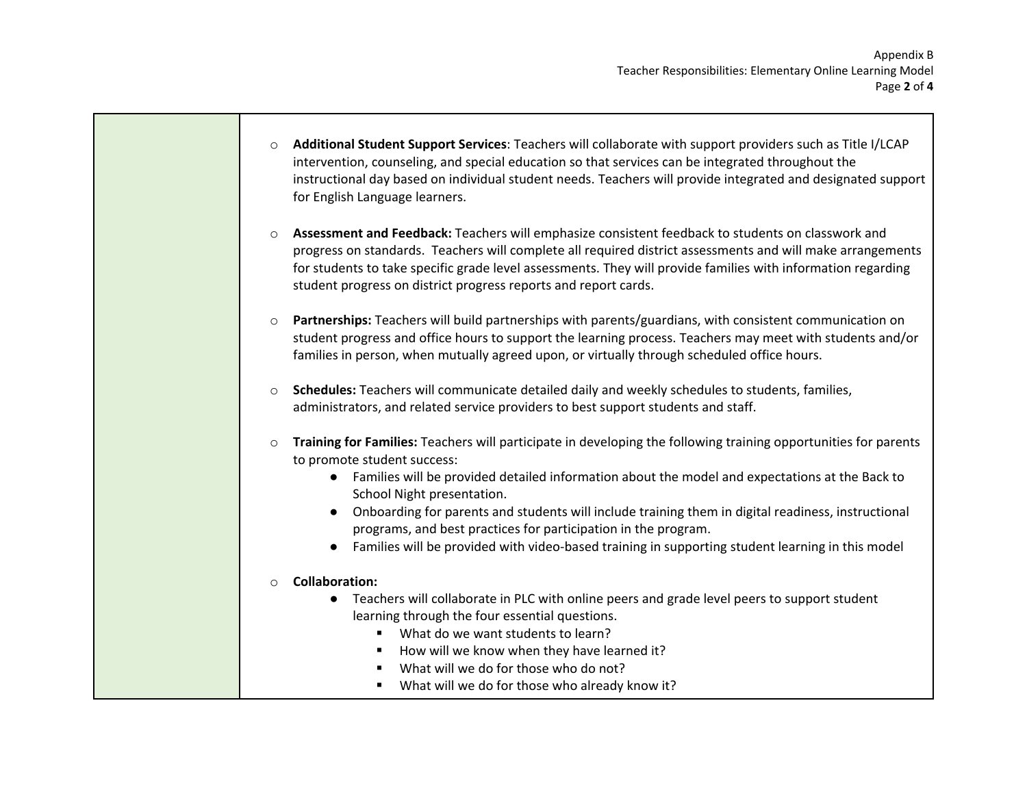- o **Additional Student Support Services**: Teachers will collaborate with support providers such as Title I/LCAP intervention, counseling, and special education so that services can be integrated throughout the instructional day based on individual student needs. Teachers will provide integrated and designated support for English Language learners.
- o **Assessment and Feedback:** Teachers will emphasize consistent feedback to students on classwork and progress on standards. Teachers will complete all required district assessments and will make arrangements for students to take specific grade level assessments. They will provide families with information regarding student progress on district progress reports and report cards.
- o **Partnerships:** Teachers will build partnerships with parents/guardians, with consistent communication on student progress and office hours to support the learning process. Teachers may meet with students and/or families in person, when mutually agreed upon, or virtually through scheduled office hours.
- o **Schedules:** Teachers will communicate detailed daily and weekly schedules to students, families, administrators, and related service providers to best support students and staff.
- o **Training for Families:** Teachers will participate in developing the following training opportunities for parents to promote student success:
	- Families will be provided detailed information about the model and expectations at the Back to School Night presentation.
	- Onboarding for parents and students will include training them in digital readiness, instructional programs, and best practices for participation in the program.
	- Families will be provided with video-based training in supporting student learning in this model

#### o **Collaboration:**

- Teachers will collaborate in PLC with online peers and grade level peers to support student learning through the four essential questions.
	- What do we want students to learn?
	- How will we know when they have learned it?
	- What will we do for those who do not?
	- What will we do for those who already know it?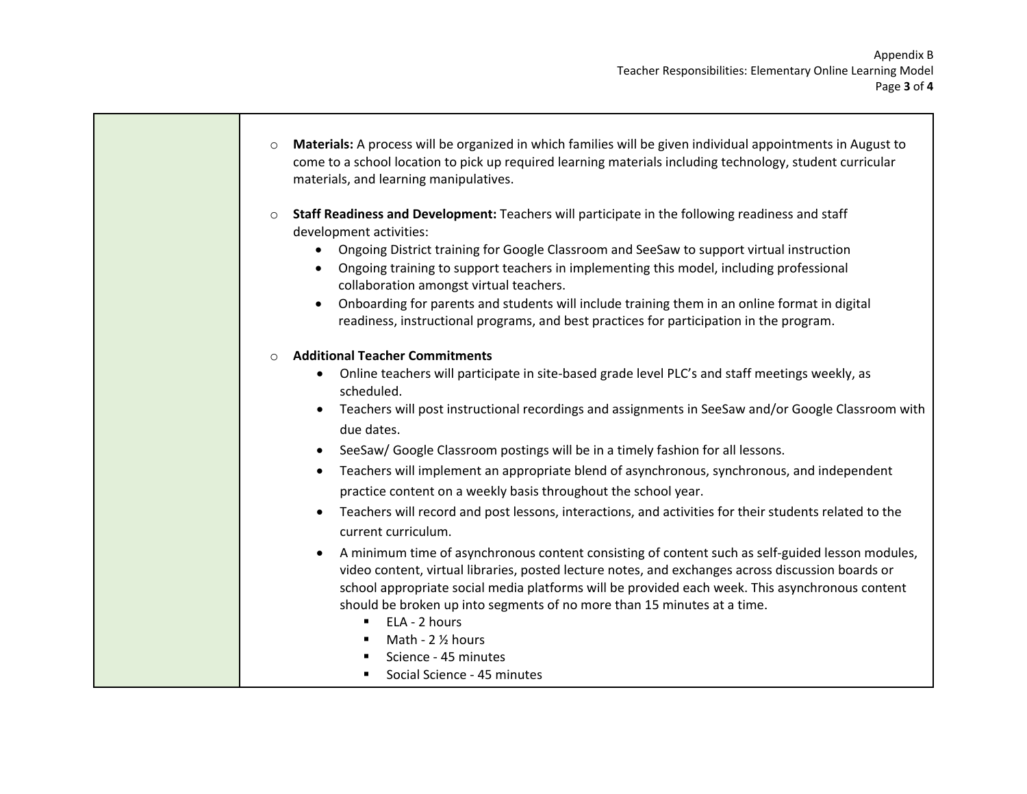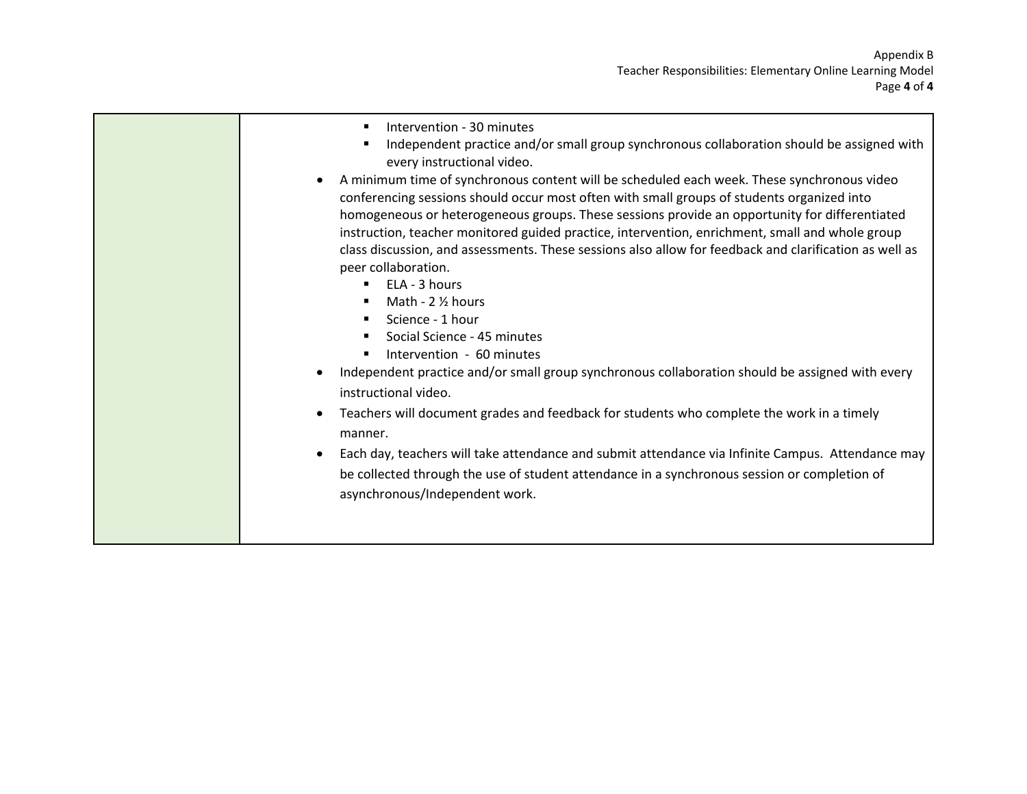- **Intervention 30 minutes**
- **Independent practice and/or small group synchronous collaboration should be assigned with** every instructional video.
- A minimum time of synchronous content will be scheduled each week. These synchronous video conferencing sessions should occur most often with small groups of students organized into homogeneous or heterogeneous groups. These sessions provide an opportunity for differentiated instruction, teacher monitored guided practice, intervention, enrichment, small and whole group class discussion, and assessments. These sessions also allow for feedback and clarification as well as peer collaboration.
	- $\blacksquare$  ELA 3 hours
	- $Math 2$  % hours
	- Science 1 hour
	- **Social Science 45 minutes**
	- **Intervention 60 minutes**
- Independent practice and/or small group synchronous collaboration should be assigned with every instructional video.
- Teachers will document grades and feedback for students who complete the work in a timely manner.
- Each day, teachers will take attendance and submit attendance via Infinite Campus. Attendance may be collected through the use of student attendance in a synchronous session or completion of asynchronous/Independent work.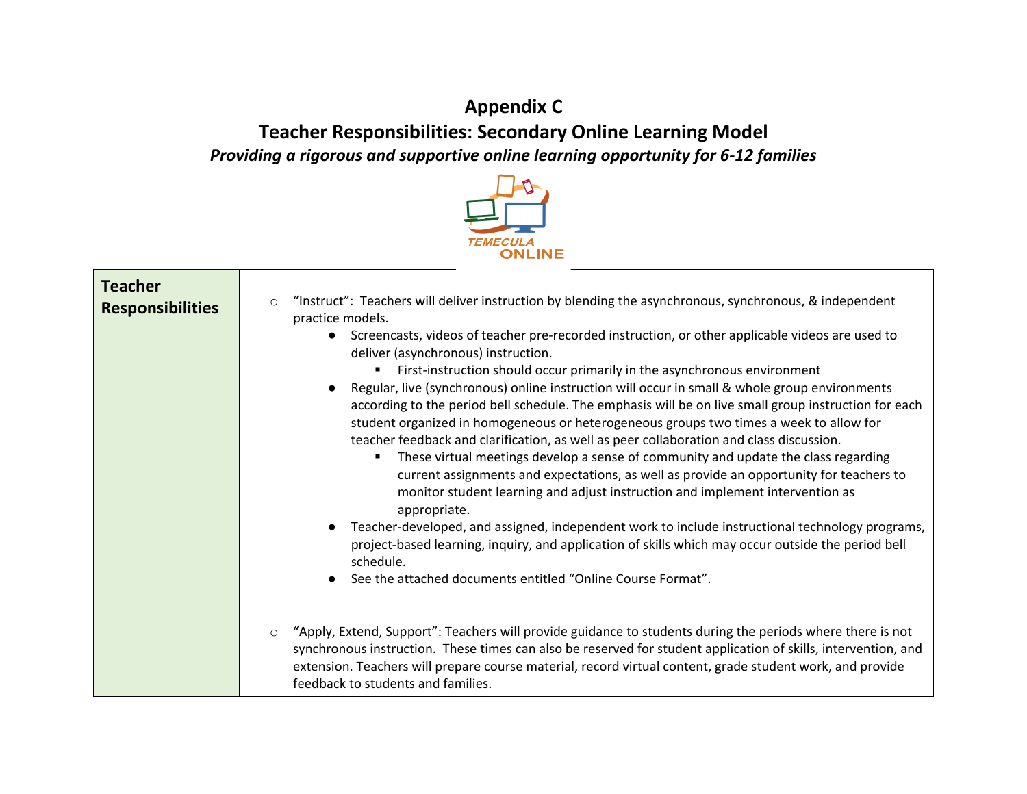# **Appendix C Teacher Responsibilities: Secondary Online Learning Model**  *Providing a rigorous and supportive online learning opportunity for 6-12 families*



| <b>Teacher</b><br><b>Responsibilities</b> | "Instruct": Teachers will deliver instruction by blending the asynchronous, synchronous, & independent<br>$\circ$<br>practice models.<br>Screencasts, videos of teacher pre-recorded instruction, or other applicable videos are used to<br>$\bullet$<br>deliver (asynchronous) instruction.<br>First-instruction should occur primarily in the asynchronous environment<br>Regular, live (synchronous) online instruction will occur in small & whole group environments<br>according to the period bell schedule. The emphasis will be on live small group instruction for each<br>student organized in homogeneous or heterogeneous groups two times a week to allow for<br>teacher feedback and clarification, as well as peer collaboration and class discussion.<br>These virtual meetings develop a sense of community and update the class regarding<br>٠<br>current assignments and expectations, as well as provide an opportunity for teachers to<br>monitor student learning and adjust instruction and implement intervention as<br>appropriate.<br>Teacher-developed, and assigned, independent work to include instructional technology programs,<br>project-based learning, inquiry, and application of skills which may occur outside the period bell<br>schedule.<br>See the attached documents entitled "Online Course Format". |
|-------------------------------------------|----------------------------------------------------------------------------------------------------------------------------------------------------------------------------------------------------------------------------------------------------------------------------------------------------------------------------------------------------------------------------------------------------------------------------------------------------------------------------------------------------------------------------------------------------------------------------------------------------------------------------------------------------------------------------------------------------------------------------------------------------------------------------------------------------------------------------------------------------------------------------------------------------------------------------------------------------------------------------------------------------------------------------------------------------------------------------------------------------------------------------------------------------------------------------------------------------------------------------------------------------------------------------------------------------------------------------------------------------|
|                                           | "Apply, Extend, Support": Teachers will provide guidance to students during the periods where there is not<br>$\circ$<br>synchronous instruction. These times can also be reserved for student application of skills, intervention, and<br>extension. Teachers will prepare course material, record virtual content, grade student work, and provide<br>feedback to students and families.                                                                                                                                                                                                                                                                                                                                                                                                                                                                                                                                                                                                                                                                                                                                                                                                                                                                                                                                                         |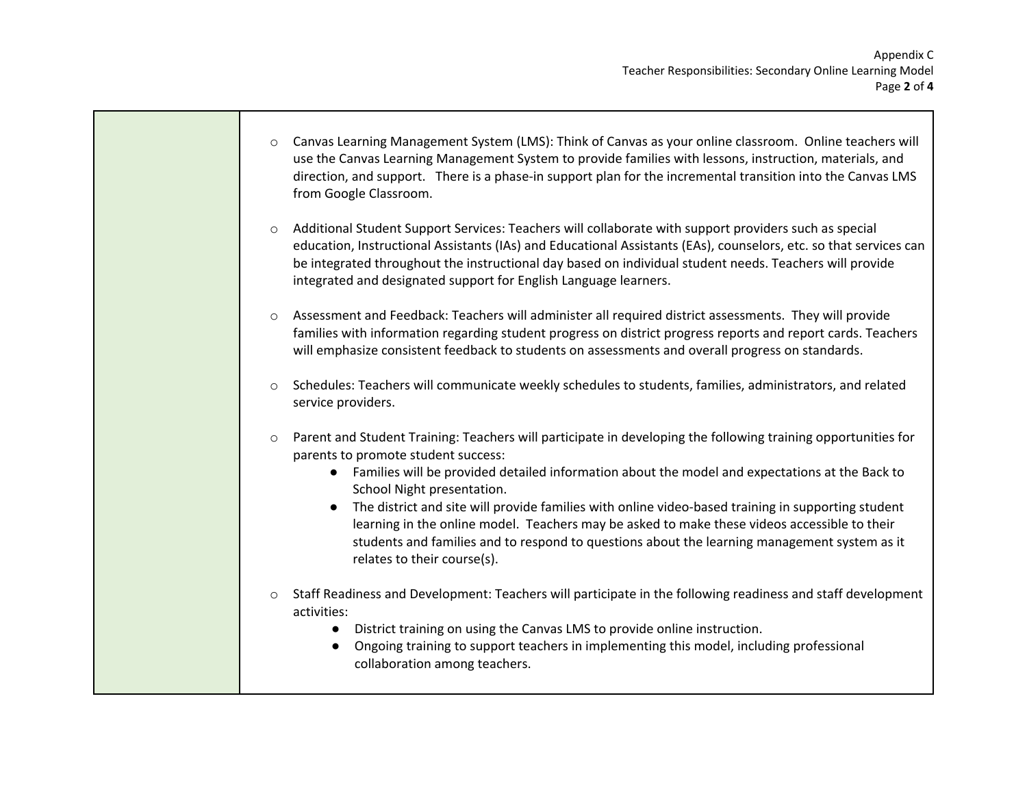- o Canvas Learning Management System (LMS): Think of Canvas as your online classroom. Online teachers will use the Canvas Learning Management System to provide families with lessons, instruction, materials, and direction, and support. There is a phase-in support plan for the incremental transition into the Canvas LMS from Google Classroom.
- o Additional Student Support Services: Teachers will collaborate with support providers such as special education, Instructional Assistants (IAs) and Educational Assistants (EAs), counselors, etc. so that services can be integrated throughout the instructional day based on individual student needs. Teachers will provide integrated and designated support for English Language learners.
- o Assessment and Feedback: Teachers will administer all required district assessments. They will provide families with information regarding student progress on district progress reports and report cards. Teachers will emphasize consistent feedback to students on assessments and overall progress on standards.
- o Schedules: Teachers will communicate weekly schedules to students, families, administrators, and related service providers.
- o Parent and Student Training: Teachers will participate in developing the following training opportunities for parents to promote student success:
	- Families will be provided detailed information about the model and expectations at the Back to School Night presentation.
	- The district and site will provide families with online video-based training in supporting student learning in the online model. Teachers may be asked to make these videos accessible to their students and families and to respond to questions about the learning management system as it relates to their course(s).
- $\circ$  Staff Readiness and Development: Teachers will participate in the following readiness and staff development activities:
	- District training on using the Canvas LMS to provide online instruction.
	- Ongoing training to support teachers in implementing this model, including professional collaboration among teachers.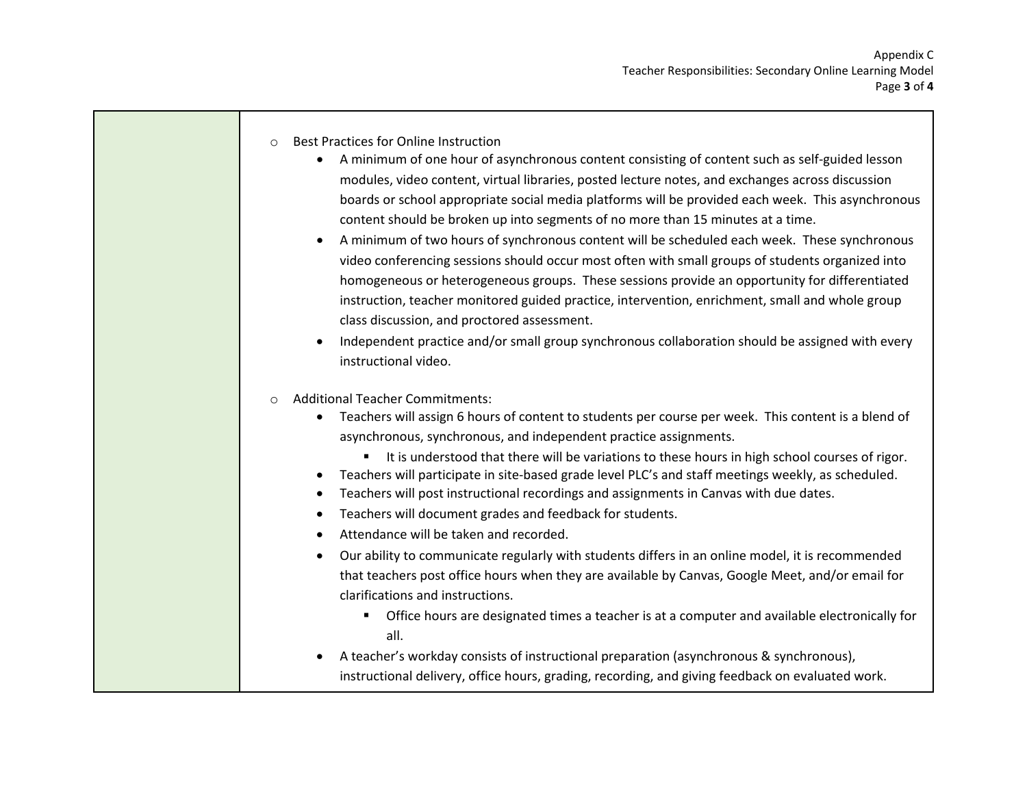- o Best Practices for Online Instruction
	- A minimum of one hour of asynchronous content consisting of content such as self-guided lesson modules, video content, virtual libraries, posted lecture notes, and exchanges across discussion boards or school appropriate social media platforms will be provided each week. This asynchronous content should be broken up into segments of no more than 15 minutes at a time.
	- A minimum of two hours of synchronous content will be scheduled each week. These synchronous video conferencing sessions should occur most often with small groups of students organized into homogeneous or heterogeneous groups. These sessions provide an opportunity for differentiated instruction, teacher monitored guided practice, intervention, enrichment, small and whole group class discussion, and proctored assessment.
	- Independent practice and/or small group synchronous collaboration should be assigned with every instructional video.
- o Additional Teacher Commitments:
	- Teachers will assign 6 hours of content to students per course per week. This content is a blend of asynchronous, synchronous, and independent practice assignments.
		- It is understood that there will be variations to these hours in high school courses of rigor.
	- Teachers will participate in site-based grade level PLC's and staff meetings weekly, as scheduled.
	- Teachers will post instructional recordings and assignments in Canvas with due dates.
	- Teachers will document grades and feedback for students.
	- Attendance will be taken and recorded.
	- Our ability to communicate regularly with students differs in an online model, it is recommended that teachers post office hours when they are available by Canvas, Google Meet, and/or email for clarifications and instructions.
		- Office hours are designated times a teacher is at a computer and available electronically for all.
	- A teacher's workday consists of instructional preparation (asynchronous & synchronous), instructional delivery, office hours, grading, recording, and giving feedback on evaluated work.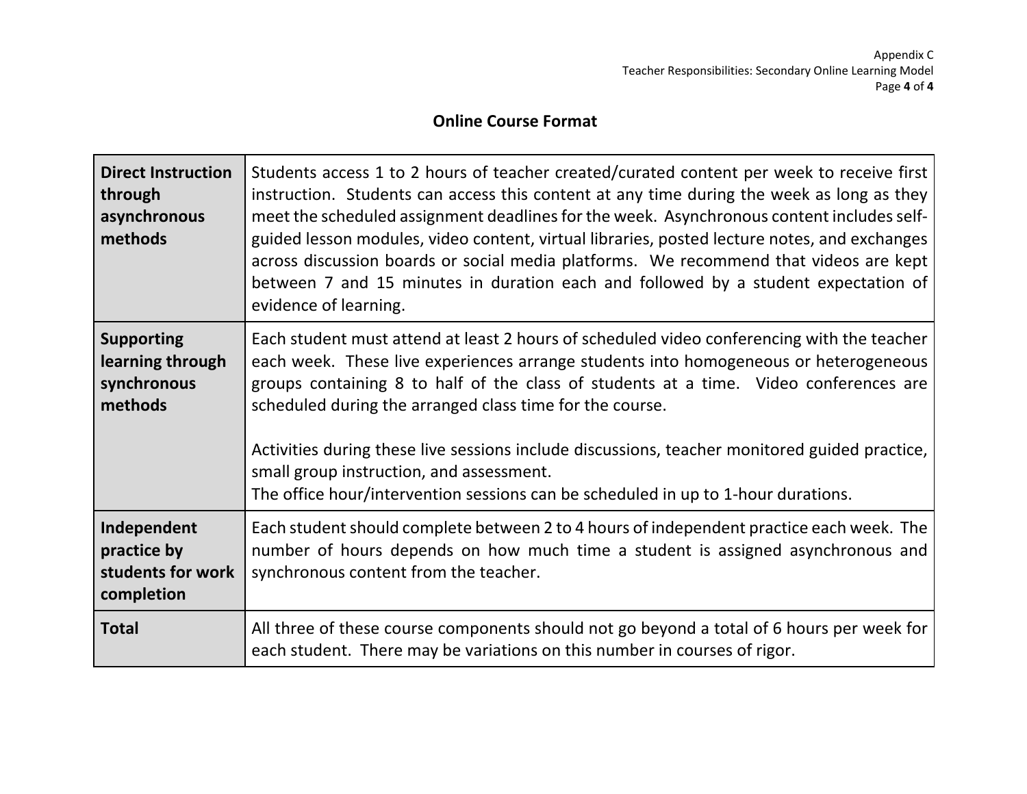### **Online Course Format**

| <b>Direct Instruction</b><br>through<br>asynchronous<br>methods | Students access 1 to 2 hours of teacher created/curated content per week to receive first<br>instruction. Students can access this content at any time during the week as long as they<br>meet the scheduled assignment deadlines for the week. Asynchronous content includes self-<br>guided lesson modules, video content, virtual libraries, posted lecture notes, and exchanges<br>across discussion boards or social media platforms. We recommend that videos are kept<br>between 7 and 15 minutes in duration each and followed by a student expectation of<br>evidence of learning. |
|-----------------------------------------------------------------|---------------------------------------------------------------------------------------------------------------------------------------------------------------------------------------------------------------------------------------------------------------------------------------------------------------------------------------------------------------------------------------------------------------------------------------------------------------------------------------------------------------------------------------------------------------------------------------------|
| <b>Supporting</b><br>learning through<br>synchronous<br>methods | Each student must attend at least 2 hours of scheduled video conferencing with the teacher<br>each week. These live experiences arrange students into homogeneous or heterogeneous<br>groups containing 8 to half of the class of students at a time. Video conferences are<br>scheduled during the arranged class time for the course.<br>Activities during these live sessions include discussions, teacher monitored guided practice,<br>small group instruction, and assessment.<br>The office hour/intervention sessions can be scheduled in up to 1-hour durations.                   |
| Independent<br>practice by<br>students for work<br>completion   | Each student should complete between 2 to 4 hours of independent practice each week. The<br>number of hours depends on how much time a student is assigned asynchronous and<br>synchronous content from the teacher.                                                                                                                                                                                                                                                                                                                                                                        |
| <b>Total</b>                                                    | All three of these course components should not go beyond a total of 6 hours per week for<br>each student. There may be variations on this number in courses of rigor.                                                                                                                                                                                                                                                                                                                                                                                                                      |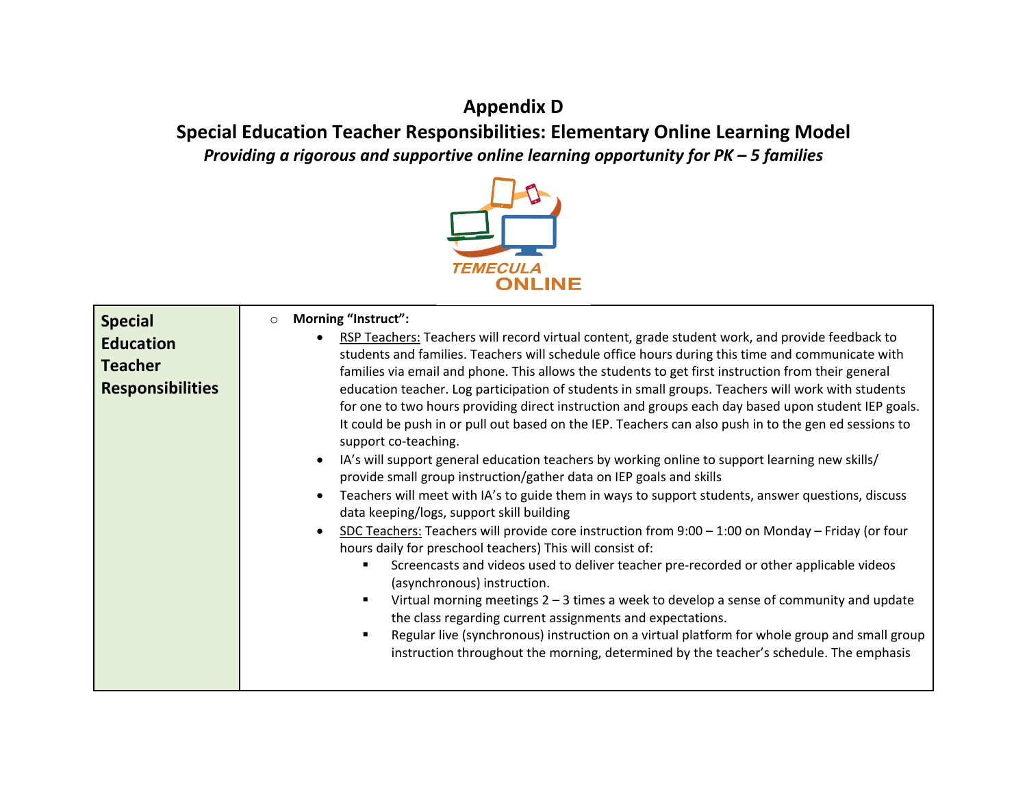# **Appendix D**

**Special Education Teacher Responsibilities: Elementary Online Learning Model**  *Providing a rigorous and supportive online learning opportunity for PK – 5 families* 



| <b>Special</b><br><b>Education</b><br><b>Teacher</b><br><b>Responsibilities</b> | Morning "Instruct":<br>$\circ$<br>RSP Teachers: Teachers will record virtual content, grade student work, and provide feedback to<br>students and families. Teachers will schedule office hours during this time and communicate with<br>families via email and phone. This allows the students to get first instruction from their general<br>education teacher. Log participation of students in small groups. Teachers will work with students<br>for one to two hours providing direct instruction and groups each day based upon student IEP goals.<br>It could be push in or pull out based on the IEP. Teachers can also push in to the gen ed sessions to<br>support co-teaching.<br>IA's will support general education teachers by working online to support learning new skills/<br>provide small group instruction/gather data on IEP goals and skills<br>Teachers will meet with IA's to guide them in ways to support students, answer questions, discuss<br>data keeping/logs, support skill building |
|---------------------------------------------------------------------------------|----------------------------------------------------------------------------------------------------------------------------------------------------------------------------------------------------------------------------------------------------------------------------------------------------------------------------------------------------------------------------------------------------------------------------------------------------------------------------------------------------------------------------------------------------------------------------------------------------------------------------------------------------------------------------------------------------------------------------------------------------------------------------------------------------------------------------------------------------------------------------------------------------------------------------------------------------------------------------------------------------------------------|
|                                                                                 | SDC Teachers: Teachers will provide core instruction from 9:00 - 1:00 on Monday - Friday (or four<br>$\bullet$<br>hours daily for preschool teachers) This will consist of:<br>Screencasts and videos used to deliver teacher pre-recorded or other applicable videos<br>(asynchronous) instruction.<br>Virtual morning meetings $2 - 3$ times a week to develop a sense of community and update<br>the class regarding current assignments and expectations.<br>Regular live (synchronous) instruction on a virtual platform for whole group and small group<br>٠<br>instruction throughout the morning, determined by the teacher's schedule. The emphasis                                                                                                                                                                                                                                                                                                                                                         |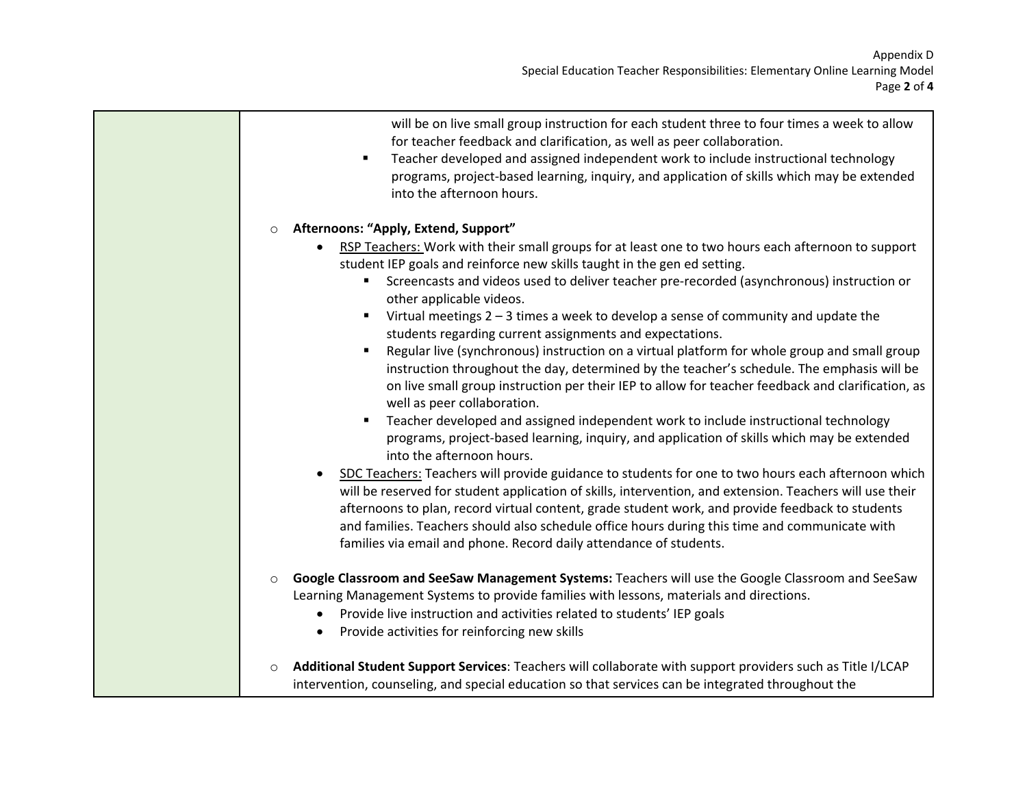| will be on live small group instruction for each student three to four times a week to allow<br>for teacher feedback and clarification, as well as peer collaboration.<br>Teacher developed and assigned independent work to include instructional technology<br>$\blacksquare$<br>programs, project-based learning, inquiry, and application of skills which may be extended<br>into the afternoon hours.                                                                                                                                                         |
|--------------------------------------------------------------------------------------------------------------------------------------------------------------------------------------------------------------------------------------------------------------------------------------------------------------------------------------------------------------------------------------------------------------------------------------------------------------------------------------------------------------------------------------------------------------------|
| Afternoons: "Apply, Extend, Support"<br>$\circ$                                                                                                                                                                                                                                                                                                                                                                                                                                                                                                                    |
| RSP Teachers: Work with their small groups for at least one to two hours each afternoon to support<br>student IEP goals and reinforce new skills taught in the gen ed setting.<br>Screencasts and videos used to deliver teacher pre-recorded (asynchronous) instruction or<br>other applicable videos.<br>Virtual meetings $2 - 3$ times a week to develop a sense of community and update the<br>٠<br>students regarding current assignments and expectations.                                                                                                   |
| Regular live (synchronous) instruction on a virtual platform for whole group and small group<br>instruction throughout the day, determined by the teacher's schedule. The emphasis will be<br>on live small group instruction per their IEP to allow for teacher feedback and clarification, as<br>well as peer collaboration.<br>Teacher developed and assigned independent work to include instructional technology<br>$\blacksquare$<br>programs, project-based learning, inquiry, and application of skills which may be extended<br>into the afternoon hours. |
| SDC Teachers: Teachers will provide guidance to students for one to two hours each afternoon which<br>will be reserved for student application of skills, intervention, and extension. Teachers will use their<br>afternoons to plan, record virtual content, grade student work, and provide feedback to students<br>and families. Teachers should also schedule office hours during this time and communicate with<br>families via email and phone. Record daily attendance of students.                                                                         |
| Google Classroom and SeeSaw Management Systems: Teachers will use the Google Classroom and SeeSaw<br>$\circ$<br>Learning Management Systems to provide families with lessons, materials and directions.<br>Provide live instruction and activities related to students' IEP goals<br>Provide activities for reinforcing new skills                                                                                                                                                                                                                                 |
| Additional Student Support Services: Teachers will collaborate with support providers such as Title I/LCAP<br>$\circ$<br>intervention, counseling, and special education so that services can be integrated throughout the                                                                                                                                                                                                                                                                                                                                         |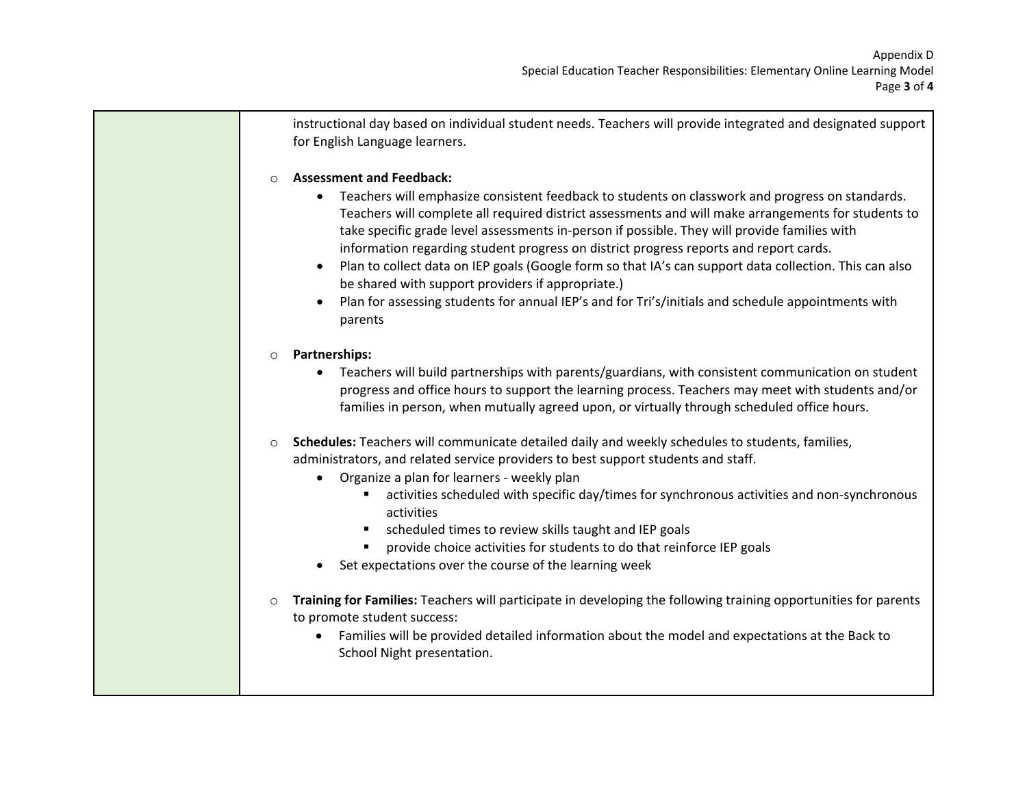instructional day based on individual student needs. Teachers will provide integrated and designated support for English Language learners.

#### o **Assessment and Feedback:**

- Teachers will emphasize consistent feedback to students on classwork and progress on standards. Teachers will complete all required district assessments and will make arrangements for students to take specific grade level assessments in-person if possible. They will provide families with information regarding student progress on district progress reports and report cards.
- Plan to collect data on IEP goals (Google form so that IA's can support data collection. This can also be shared with support providers if appropriate.)
- Plan for assessing students for annual IEP's and for Tri's/initials and schedule appointments with parents

### o **Partnerships:**

- Teachers will build partnerships with parents/guardians, with consistent communication on student progress and office hours to support the learning process. Teachers may meet with students and/or families in person, when mutually agreed upon, or virtually through scheduled office hours.
- o **Schedules:** Teachers will communicate detailed daily and weekly schedules to students, families, administrators, and related service providers to best support students and staff.
	- Organize a plan for learners weekly plan
		- activities scheduled with specific day/times for synchronous activities and non-synchronous activities
		- scheduled times to review skills taught and IEP goals
		- **Perovide choice activities for students to do that reinforce IEP goals**
	- Set expectations over the course of the learning week
- o **Training for Families:** Teachers will participate in developing the following training opportunities for parents to promote student success:
	- Families will be provided detailed information about the model and expectations at the Back to School Night presentation.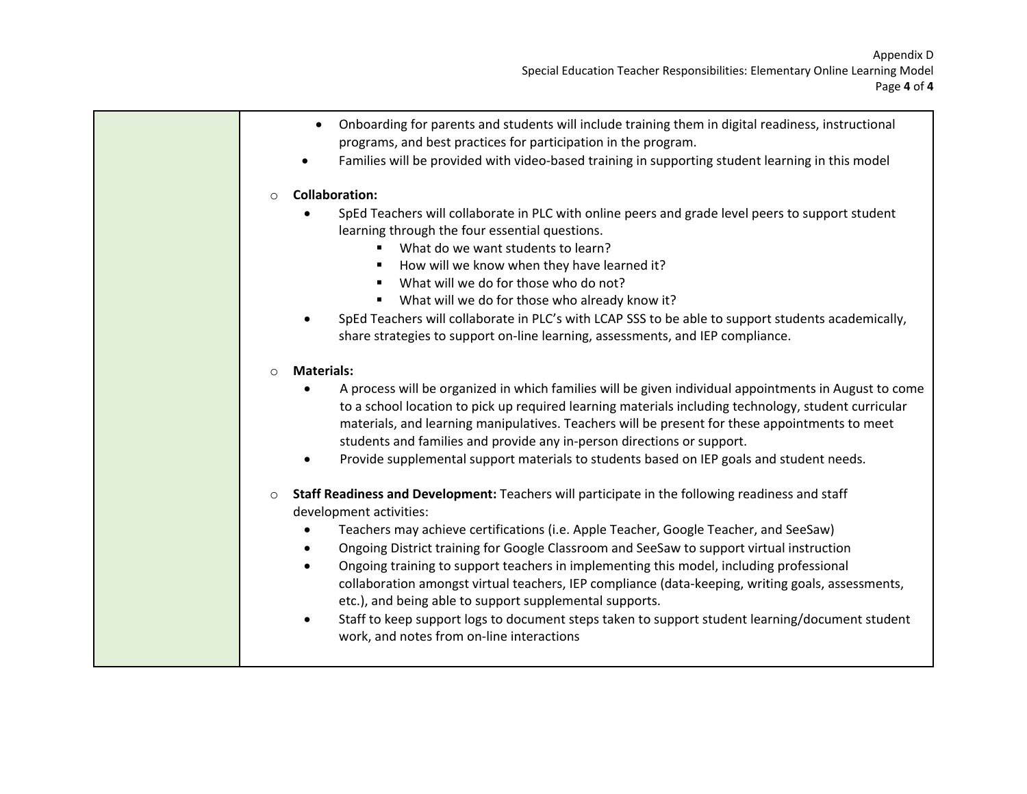| Onboarding for parents and students will include training them in digital readiness, instructional<br>$\bullet$<br>programs, and best practices for participation in the program.<br>Families will be provided with video-based training in supporting student learning in this model                                                                                                                                                                                                                                                                                                                                                                                                                                                                                            |
|----------------------------------------------------------------------------------------------------------------------------------------------------------------------------------------------------------------------------------------------------------------------------------------------------------------------------------------------------------------------------------------------------------------------------------------------------------------------------------------------------------------------------------------------------------------------------------------------------------------------------------------------------------------------------------------------------------------------------------------------------------------------------------|
| <b>Collaboration:</b><br>$\circ$<br>SpEd Teachers will collaborate in PLC with online peers and grade level peers to support student<br>learning through the four essential questions.<br>What do we want students to learn?<br>$\blacksquare$<br>How will we know when they have learned it?<br>What will we do for those who do not?<br>" What will we do for those who already know it?<br>SpEd Teachers will collaborate in PLC's with LCAP SSS to be able to support students academically,<br>share strategies to support on-line learning, assessments, and IEP compliance.                                                                                                                                                                                               |
| <b>Materials:</b><br>$\circ$<br>A process will be organized in which families will be given individual appointments in August to come<br>٠<br>to a school location to pick up required learning materials including technology, student curricular<br>materials, and learning manipulatives. Teachers will be present for these appointments to meet<br>students and families and provide any in-person directions or support.<br>Provide supplemental support materials to students based on IEP goals and student needs.<br>٠                                                                                                                                                                                                                                                  |
| Staff Readiness and Development: Teachers will participate in the following readiness and staff<br>$\circ$<br>development activities:<br>Teachers may achieve certifications (i.e. Apple Teacher, Google Teacher, and SeeSaw)<br>$\bullet$<br>Ongoing District training for Google Classroom and SeeSaw to support virtual instruction<br>$\bullet$<br>Ongoing training to support teachers in implementing this model, including professional<br>$\bullet$<br>collaboration amongst virtual teachers, IEP compliance (data-keeping, writing goals, assessments,<br>etc.), and being able to support supplemental supports.<br>Staff to keep support logs to document steps taken to support student learning/document student<br>٠<br>work, and notes from on-line interactions |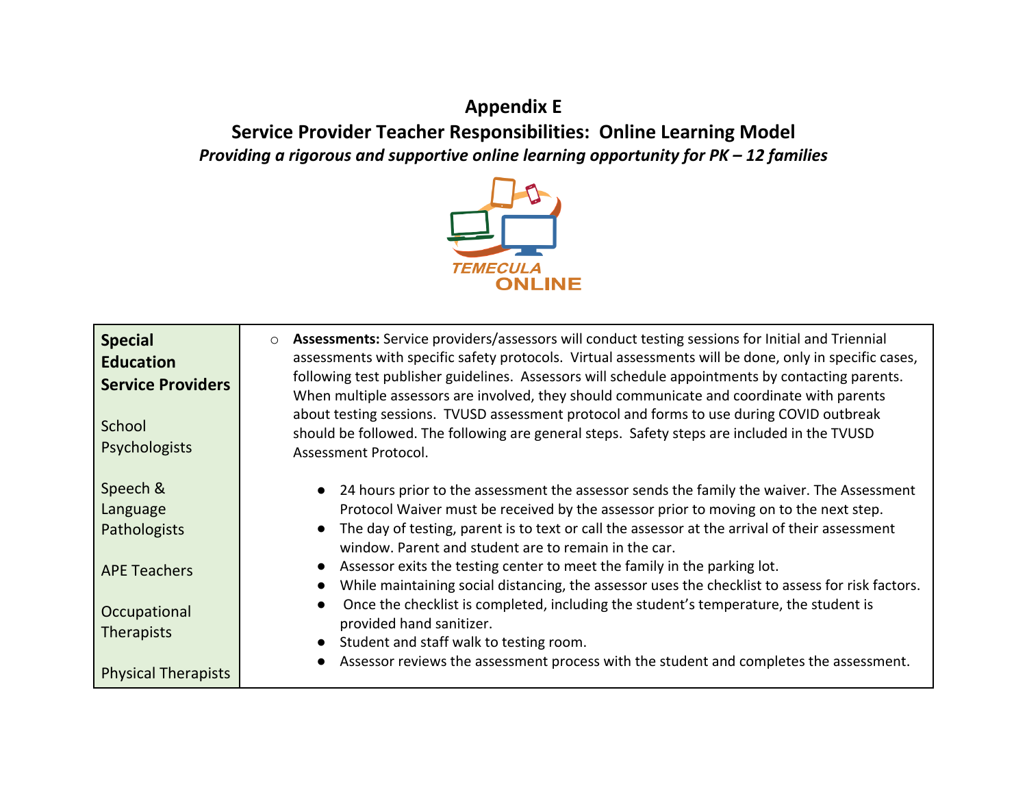# **Appendix E Service Provider Teacher Responsibilities: Online Learning Model**  *Providing a rigorous and supportive online learning opportunity for PK – 12 families*



| <b>Special</b><br><b>Education</b><br><b>Service Providers</b><br>School<br>Psychologists | Assessments: Service providers/assessors will conduct testing sessions for Initial and Triennial<br>$\circ$<br>assessments with specific safety protocols. Virtual assessments will be done, only in specific cases,<br>following test publisher guidelines. Assessors will schedule appointments by contacting parents.<br>When multiple assessors are involved, they should communicate and coordinate with parents<br>about testing sessions. TVUSD assessment protocol and forms to use during COVID outbreak<br>should be followed. The following are general steps. Safety steps are included in the TVUSD<br>Assessment Protocol. |
|-------------------------------------------------------------------------------------------|------------------------------------------------------------------------------------------------------------------------------------------------------------------------------------------------------------------------------------------------------------------------------------------------------------------------------------------------------------------------------------------------------------------------------------------------------------------------------------------------------------------------------------------------------------------------------------------------------------------------------------------|
| Speech &<br>Language<br>Pathologists                                                      | • 24 hours prior to the assessment the assessor sends the family the waiver. The Assessment<br>Protocol Waiver must be received by the assessor prior to moving on to the next step.<br>The day of testing, parent is to text or call the assessor at the arrival of their assessment                                                                                                                                                                                                                                                                                                                                                    |
| <b>APE Teachers</b>                                                                       | window. Parent and student are to remain in the car.<br>• Assessor exits the testing center to meet the family in the parking lot.<br>While maintaining social distancing, the assessor uses the checklist to assess for risk factors.<br>Once the checklist is completed, including the student's temperature, the student is                                                                                                                                                                                                                                                                                                           |
| Occupational<br><b>Therapists</b>                                                         | provided hand sanitizer.<br>Student and staff walk to testing room.                                                                                                                                                                                                                                                                                                                                                                                                                                                                                                                                                                      |
| <b>Physical Therapists</b>                                                                | Assessor reviews the assessment process with the student and completes the assessment.                                                                                                                                                                                                                                                                                                                                                                                                                                                                                                                                                   |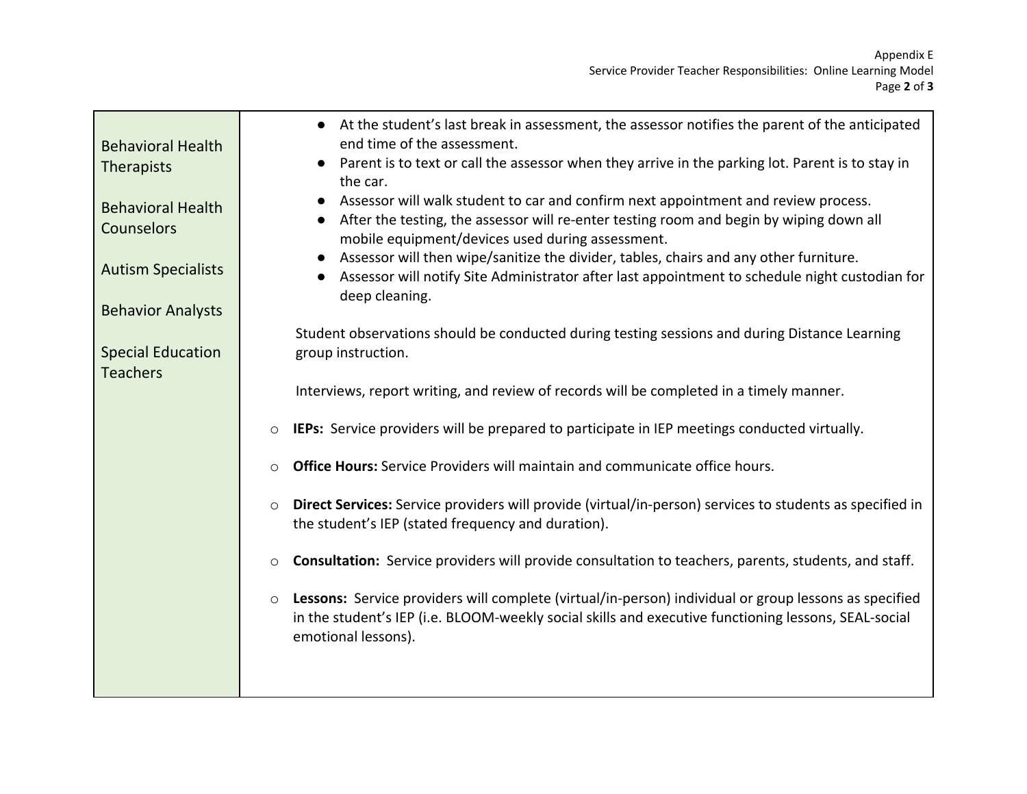| <b>Behavioral Health</b><br>Therapists<br><b>Behavioral Health</b><br><b>Counselors</b><br><b>Autism Specialists</b><br><b>Behavior Analysts</b> | • At the student's last break in assessment, the assessor notifies the parent of the anticipated<br>end time of the assessment.<br>• Parent is to text or call the assessor when they arrive in the parking lot. Parent is to stay in<br>the car.<br>Assessor will walk student to car and confirm next appointment and review process.<br>After the testing, the assessor will re-enter testing room and begin by wiping down all<br>mobile equipment/devices used during assessment.<br>Assessor will then wipe/sanitize the divider, tables, chairs and any other furniture.<br>Assessor will notify Site Administrator after last appointment to schedule night custodian for<br>deep cleaning. |
|--------------------------------------------------------------------------------------------------------------------------------------------------|-----------------------------------------------------------------------------------------------------------------------------------------------------------------------------------------------------------------------------------------------------------------------------------------------------------------------------------------------------------------------------------------------------------------------------------------------------------------------------------------------------------------------------------------------------------------------------------------------------------------------------------------------------------------------------------------------------|
| <b>Special Education</b><br><b>Teachers</b>                                                                                                      | Student observations should be conducted during testing sessions and during Distance Learning<br>group instruction.                                                                                                                                                                                                                                                                                                                                                                                                                                                                                                                                                                                 |
|                                                                                                                                                  | Interviews, report writing, and review of records will be completed in a timely manner.<br><b>IEPs:</b> Service providers will be prepared to participate in IEP meetings conducted virtually.<br>$\circ$                                                                                                                                                                                                                                                                                                                                                                                                                                                                                           |
|                                                                                                                                                  | <b>Office Hours:</b> Service Providers will maintain and communicate office hours.                                                                                                                                                                                                                                                                                                                                                                                                                                                                                                                                                                                                                  |
|                                                                                                                                                  | Direct Services: Service providers will provide (virtual/in-person) services to students as specified in<br>$\circ$<br>the student's IEP (stated frequency and duration).                                                                                                                                                                                                                                                                                                                                                                                                                                                                                                                           |
|                                                                                                                                                  | Consultation: Service providers will provide consultation to teachers, parents, students, and staff.<br>O                                                                                                                                                                                                                                                                                                                                                                                                                                                                                                                                                                                           |
|                                                                                                                                                  | Lessons: Service providers will complete (virtual/in-person) individual or group lessons as specified<br>$\circ$<br>in the student's IEP (i.e. BLOOM-weekly social skills and executive functioning lessons, SEAL-social<br>emotional lessons).                                                                                                                                                                                                                                                                                                                                                                                                                                                     |
|                                                                                                                                                  |                                                                                                                                                                                                                                                                                                                                                                                                                                                                                                                                                                                                                                                                                                     |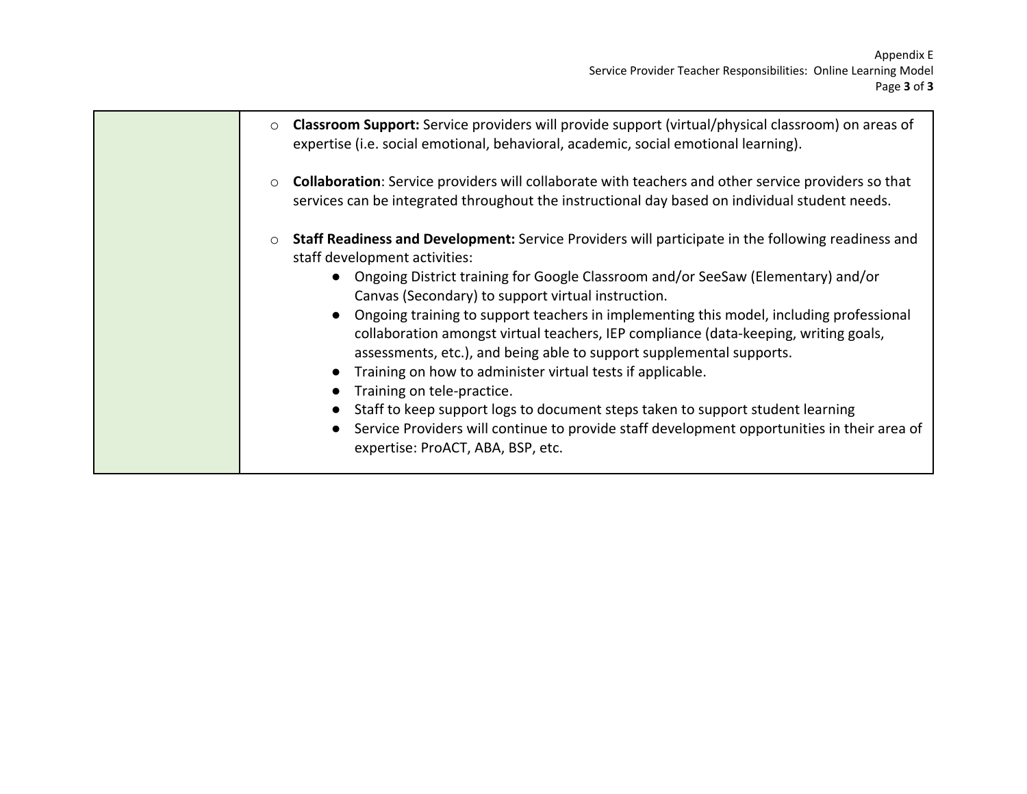| Classroom Support: Service providers will provide support (virtual/physical classroom) on areas of<br>expertise (i.e. social emotional, behavioral, academic, social emotional learning).                                                                                                                                                                                                                                                                                                                                                                                                                                                                                                                                                                                                                                                                                                         |
|---------------------------------------------------------------------------------------------------------------------------------------------------------------------------------------------------------------------------------------------------------------------------------------------------------------------------------------------------------------------------------------------------------------------------------------------------------------------------------------------------------------------------------------------------------------------------------------------------------------------------------------------------------------------------------------------------------------------------------------------------------------------------------------------------------------------------------------------------------------------------------------------------|
| <b>Collaboration:</b> Service providers will collaborate with teachers and other service providers so that<br>services can be integrated throughout the instructional day based on individual student needs.                                                                                                                                                                                                                                                                                                                                                                                                                                                                                                                                                                                                                                                                                      |
| Staff Readiness and Development: Service Providers will participate in the following readiness and<br>$\circ$<br>staff development activities:<br>• Ongoing District training for Google Classroom and/or SeeSaw (Elementary) and/or<br>Canvas (Secondary) to support virtual instruction.<br>Ongoing training to support teachers in implementing this model, including professional<br>$\bullet$<br>collaboration amongst virtual teachers, IEP compliance (data-keeping, writing goals,<br>assessments, etc.), and being able to support supplemental supports.<br>Training on how to administer virtual tests if applicable.<br>Training on tele-practice.<br>Staff to keep support logs to document steps taken to support student learning<br>Service Providers will continue to provide staff development opportunities in their area of<br>$\bullet$<br>expertise: ProACT, ABA, BSP, etc. |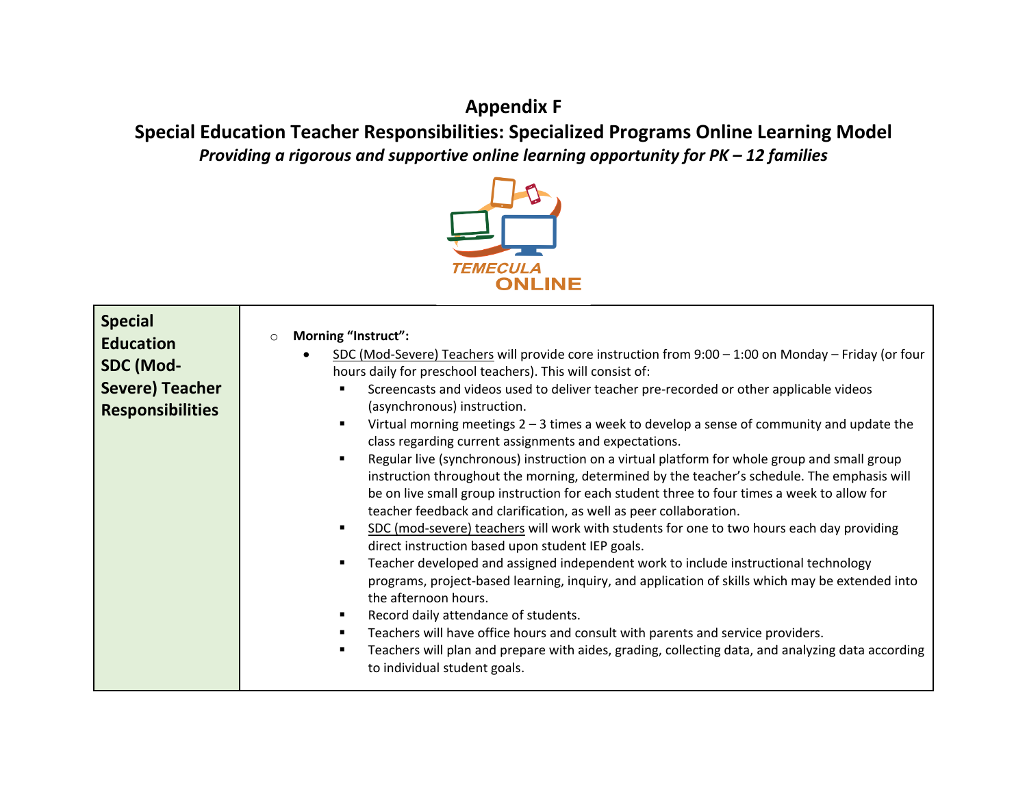# **Appendix F**

**Special Education Teacher Responsibilities: Specialized Programs Online Learning Model**  *Providing a rigorous and supportive online learning opportunity for PK – 12 families* 



| <b>Special</b><br><b>Morning "Instruct":</b><br>$\circ$<br><b>Education</b><br>SDC (Mod-Severe) Teachers will provide core instruction from $9:00 - 1:00$ on Monday - Friday (or four<br>SDC (Mod-<br>hours daily for preschool teachers). This will consist of:<br><b>Severe) Teacher</b><br>Screencasts and videos used to deliver teacher pre-recorded or other applicable videos<br>(asynchronous) instruction.<br><b>Responsibilities</b><br>Virtual morning meetings $2 - 3$ times a week to develop a sense of community and update the<br>class regarding current assignments and expectations.<br>Regular live (synchronous) instruction on a virtual platform for whole group and small group<br>$\blacksquare$<br>instruction throughout the morning, determined by the teacher's schedule. The emphasis will<br>be on live small group instruction for each student three to four times a week to allow for<br>teacher feedback and clarification, as well as peer collaboration.<br>SDC (mod-severe) teachers will work with students for one to two hours each day providing<br>$\blacksquare$<br>direct instruction based upon student IEP goals.<br>Teacher developed and assigned independent work to include instructional technology<br>٠<br>programs, project-based learning, inquiry, and application of skills which may be extended into<br>the afternoon hours.<br>Record daily attendance of students.<br>Teachers will have office hours and consult with parents and service providers.<br>Teachers will plan and prepare with aides, grading, collecting data, and analyzing data according<br>to individual student goals. |
|---------------------------------------------------------------------------------------------------------------------------------------------------------------------------------------------------------------------------------------------------------------------------------------------------------------------------------------------------------------------------------------------------------------------------------------------------------------------------------------------------------------------------------------------------------------------------------------------------------------------------------------------------------------------------------------------------------------------------------------------------------------------------------------------------------------------------------------------------------------------------------------------------------------------------------------------------------------------------------------------------------------------------------------------------------------------------------------------------------------------------------------------------------------------------------------------------------------------------------------------------------------------------------------------------------------------------------------------------------------------------------------------------------------------------------------------------------------------------------------------------------------------------------------------------------------------------------------------------------------------------------------------------------|
|---------------------------------------------------------------------------------------------------------------------------------------------------------------------------------------------------------------------------------------------------------------------------------------------------------------------------------------------------------------------------------------------------------------------------------------------------------------------------------------------------------------------------------------------------------------------------------------------------------------------------------------------------------------------------------------------------------------------------------------------------------------------------------------------------------------------------------------------------------------------------------------------------------------------------------------------------------------------------------------------------------------------------------------------------------------------------------------------------------------------------------------------------------------------------------------------------------------------------------------------------------------------------------------------------------------------------------------------------------------------------------------------------------------------------------------------------------------------------------------------------------------------------------------------------------------------------------------------------------------------------------------------------------|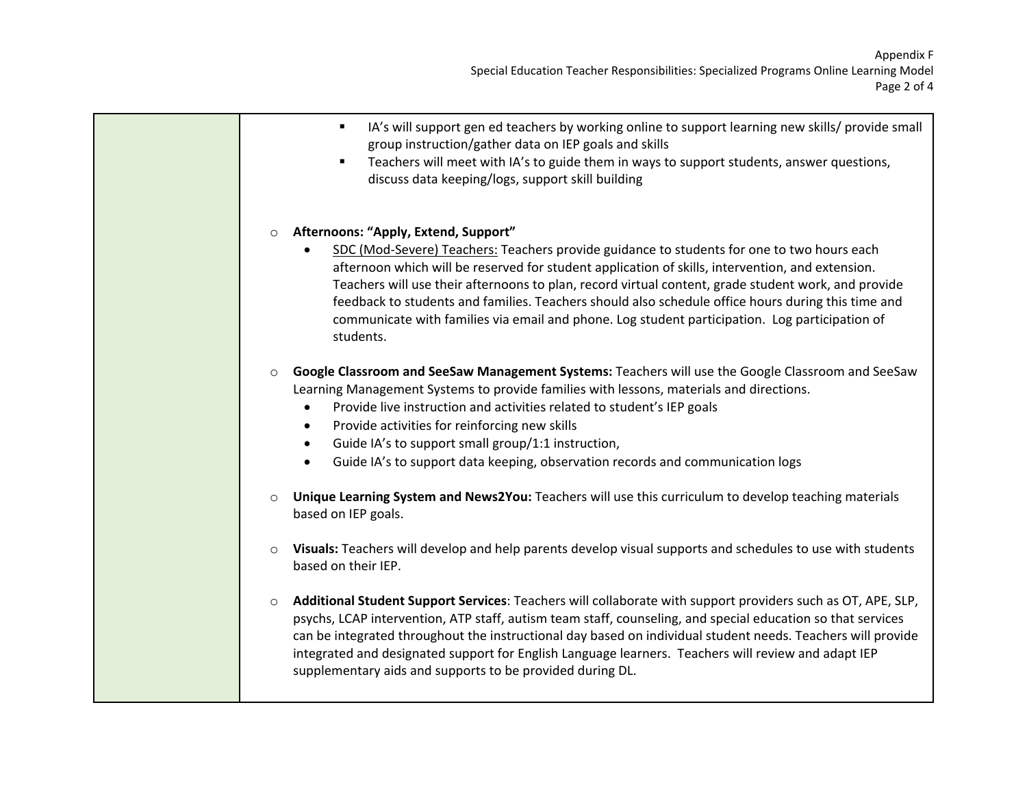- IA's will support gen ed teachers by working online to support learning new skills/ provide small group instruction/gather data on IEP goals and skills
- Teachers will meet with IA's to guide them in ways to support students, answer questions, discuss data keeping/logs, support skill building

#### o **Afternoons: "Apply, Extend, Support"**

- SDC (Mod-Severe) Teachers: Teachers provide guidance to students for one to two hours each afternoon which will be reserved for student application of skills, intervention, and extension. Teachers will use their afternoons to plan, record virtual content, grade student work, and provide feedback to students and families. Teachers should also schedule office hours during this time and communicate with families via email and phone. Log student participation. Log participation of students.
- o **Google Classroom and SeeSaw Management Systems:** Teachers will use the Google Classroom and SeeSaw Learning Management Systems to provide families with lessons, materials and directions.
	- Provide live instruction and activities related to student's IEP goals
	- Provide activities for reinforcing new skills
	- Guide IA's to support small group/1:1 instruction,
	- Guide IA's to support data keeping, observation records and communication logs
- o **Unique Learning System and News2You:** Teachers will use this curriculum to develop teaching materials based on IEP goals.
- o **Visuals:** Teachers will develop and help parents develop visual supports and schedules to use with students based on their IEP.
- o **Additional Student Support Services**: Teachers will collaborate with support providers such as OT, APE, SLP, psychs, LCAP intervention, ATP staff, autism team staff, counseling, and special education so that services can be integrated throughout the instructional day based on individual student needs. Teachers will provide integrated and designated support for English Language learners. Teachers will review and adapt IEP supplementary aids and supports to be provided during DL.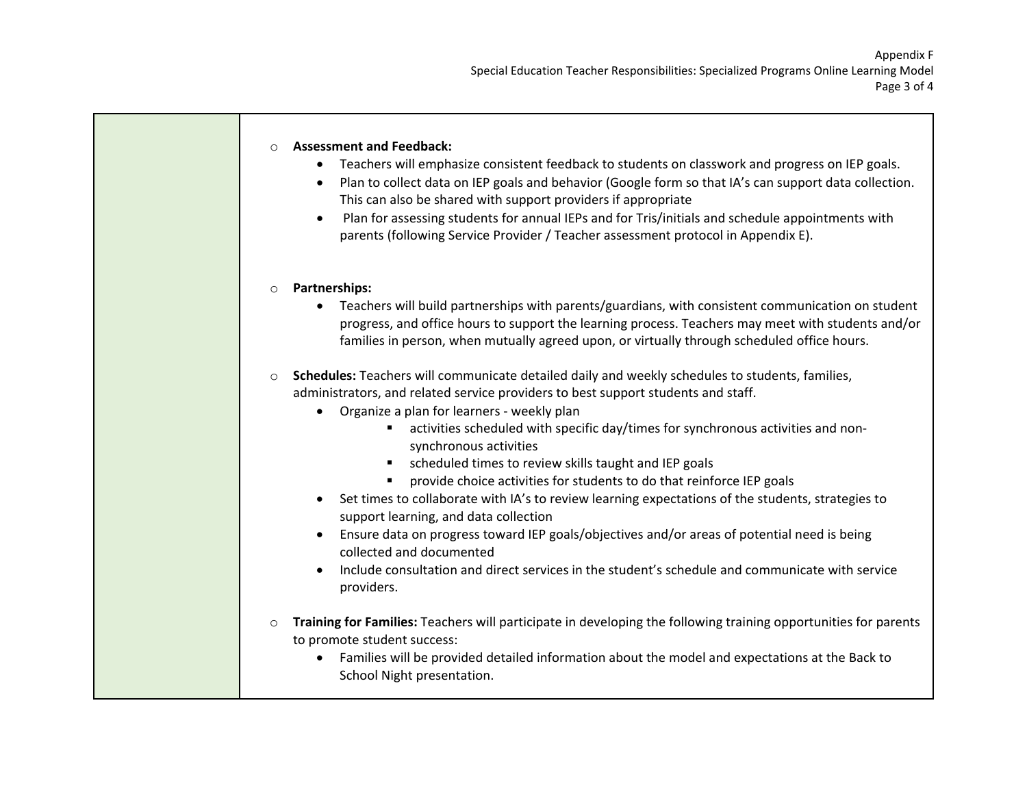٦

| $\circ$ | <b>Assessment and Feedback:</b><br>Teachers will emphasize consistent feedback to students on classwork and progress on IEP goals.<br>$\bullet$<br>Plan to collect data on IEP goals and behavior (Google form so that IA's can support data collection.<br>$\bullet$<br>This can also be shared with support providers if appropriate<br>Plan for assessing students for annual IEPs and for Tris/initials and schedule appointments with<br>$\bullet$<br>parents (following Service Provider / Teacher assessment protocol in Appendix E).                                                                                                                                                                                                                                                                                                                                                                |
|---------|-------------------------------------------------------------------------------------------------------------------------------------------------------------------------------------------------------------------------------------------------------------------------------------------------------------------------------------------------------------------------------------------------------------------------------------------------------------------------------------------------------------------------------------------------------------------------------------------------------------------------------------------------------------------------------------------------------------------------------------------------------------------------------------------------------------------------------------------------------------------------------------------------------------|
| $\circ$ | Partnerships:<br>Teachers will build partnerships with parents/guardians, with consistent communication on student<br>progress, and office hours to support the learning process. Teachers may meet with students and/or<br>families in person, when mutually agreed upon, or virtually through scheduled office hours.                                                                                                                                                                                                                                                                                                                                                                                                                                                                                                                                                                                     |
| $\circ$ | Schedules: Teachers will communicate detailed daily and weekly schedules to students, families,<br>administrators, and related service providers to best support students and staff.<br>Organize a plan for learners - weekly plan<br>$\bullet$<br>activities scheduled with specific day/times for synchronous activities and non-<br>٠<br>synchronous activities<br>scheduled times to review skills taught and IEP goals<br>provide choice activities for students to do that reinforce IEP goals<br>Set times to collaborate with IA's to review learning expectations of the students, strategies to<br>support learning, and data collection<br>Ensure data on progress toward IEP goals/objectives and/or areas of potential need is being<br>$\bullet$<br>collected and documented<br>Include consultation and direct services in the student's schedule and communicate with service<br>providers. |
| $\circ$ | Training for Families: Teachers will participate in developing the following training opportunities for parents<br>to promote student success:<br>Families will be provided detailed information about the model and expectations at the Back to<br>$\bullet$<br>School Night presentation.                                                                                                                                                                                                                                                                                                                                                                                                                                                                                                                                                                                                                 |

П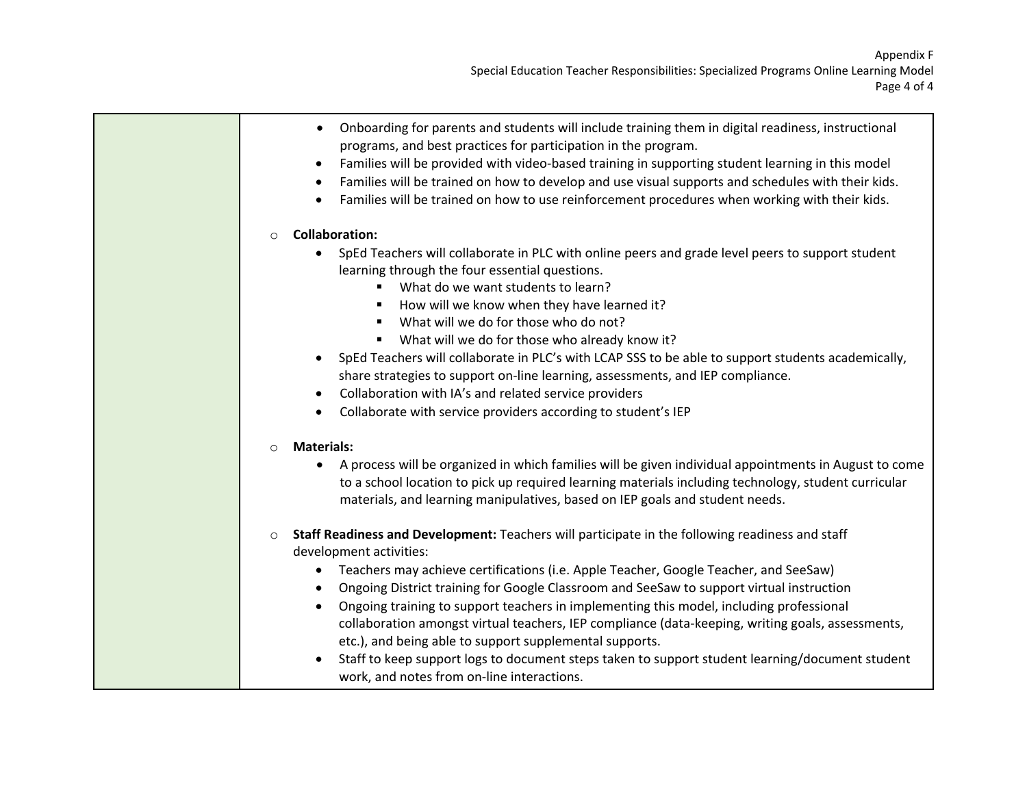|         | Onboarding for parents and students will include training them in digital readiness, instructional<br>$\bullet$<br>programs, and best practices for participation in the program.<br>Families will be provided with video-based training in supporting student learning in this model<br>٠<br>Families will be trained on how to develop and use visual supports and schedules with their kids.<br>٠<br>Families will be trained on how to use reinforcement procedures when working with their kids.<br>$\bullet$                                                                                                                                                                                                                                |
|---------|---------------------------------------------------------------------------------------------------------------------------------------------------------------------------------------------------------------------------------------------------------------------------------------------------------------------------------------------------------------------------------------------------------------------------------------------------------------------------------------------------------------------------------------------------------------------------------------------------------------------------------------------------------------------------------------------------------------------------------------------------|
| $\circ$ | <b>Collaboration:</b>                                                                                                                                                                                                                                                                                                                                                                                                                                                                                                                                                                                                                                                                                                                             |
|         | SpEd Teachers will collaborate in PLC with online peers and grade level peers to support student<br>$\bullet$<br>learning through the four essential questions.<br>What do we want students to learn?<br>٠<br>How will we know when they have learned it?<br>What will we do for those who do not?<br>What will we do for those who already know it?<br>SpEd Teachers will collaborate in PLC's with LCAP SSS to be able to support students academically,<br>$\bullet$<br>share strategies to support on-line learning, assessments, and IEP compliance.<br>Collaboration with IA's and related service providers<br>٠                                                                                                                           |
|         | Collaborate with service providers according to student's IEP<br>$\bullet$                                                                                                                                                                                                                                                                                                                                                                                                                                                                                                                                                                                                                                                                        |
| $\circ$ | <b>Materials:</b><br>A process will be organized in which families will be given individual appointments in August to come<br>$\bullet$<br>to a school location to pick up required learning materials including technology, student curricular<br>materials, and learning manipulatives, based on IEP goals and student needs.                                                                                                                                                                                                                                                                                                                                                                                                                   |
| $\circ$ | Staff Readiness and Development: Teachers will participate in the following readiness and staff<br>development activities:<br>Teachers may achieve certifications (i.e. Apple Teacher, Google Teacher, and SeeSaw)<br>٠<br>Ongoing District training for Google Classroom and SeeSaw to support virtual instruction<br>$\bullet$<br>Ongoing training to support teachers in implementing this model, including professional<br>٠<br>collaboration amongst virtual teachers, IEP compliance (data-keeping, writing goals, assessments,<br>etc.), and being able to support supplemental supports.<br>Staff to keep support logs to document steps taken to support student learning/document student<br>work, and notes from on-line interactions. |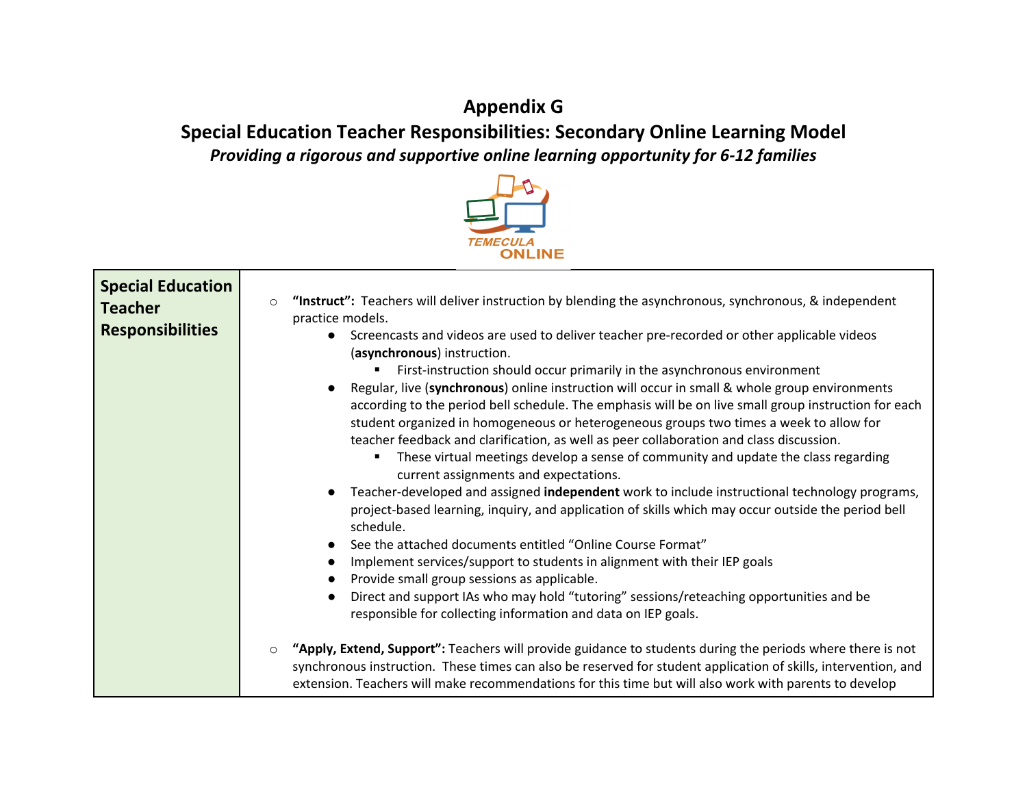# **Appendix G**

**Special Education Teacher Responsibilities: Secondary Online Learning Model**  *Providing a rigorous and supportive online learning opportunity for 6-12 families*



| <b>Special Education</b><br><b>Teacher</b><br><b>Responsibilities</b> | "Instruct": Teachers will deliver instruction by blending the asynchronous, synchronous, & independent<br>$\circ$<br>practice models.<br>Screencasts and videos are used to deliver teacher pre-recorded or other applicable videos<br>$\bullet$<br>(asynchronous) instruction.<br>First-instruction should occur primarily in the asynchronous environment<br>Regular, live (synchronous) online instruction will occur in small & whole group environments<br>according to the period bell schedule. The emphasis will be on live small group instruction for each<br>student organized in homogeneous or heterogeneous groups two times a week to allow for<br>teacher feedback and clarification, as well as peer collaboration and class discussion.<br>These virtual meetings develop a sense of community and update the class regarding<br>٠<br>current assignments and expectations.<br>Teacher-developed and assigned independent work to include instructional technology programs,<br>$\bullet$<br>project-based learning, inquiry, and application of skills which may occur outside the period bell<br>schedule.<br>See the attached documents entitled "Online Course Format"<br>Implement services/support to students in alignment with their IEP goals<br>Provide small group sessions as applicable.<br>Direct and support IAs who may hold "tutoring" sessions/reteaching opportunities and be<br>responsible for collecting information and data on IEP goals. |  |
|-----------------------------------------------------------------------|-------------------------------------------------------------------------------------------------------------------------------------------------------------------------------------------------------------------------------------------------------------------------------------------------------------------------------------------------------------------------------------------------------------------------------------------------------------------------------------------------------------------------------------------------------------------------------------------------------------------------------------------------------------------------------------------------------------------------------------------------------------------------------------------------------------------------------------------------------------------------------------------------------------------------------------------------------------------------------------------------------------------------------------------------------------------------------------------------------------------------------------------------------------------------------------------------------------------------------------------------------------------------------------------------------------------------------------------------------------------------------------------------------------------------------------------------------------------------------------|--|
|                                                                       | "Apply, Extend, Support": Teachers will provide guidance to students during the periods where there is not<br>$\circ$<br>synchronous instruction. These times can also be reserved for student application of skills, intervention, and<br>extension. Teachers will make recommendations for this time but will also work with parents to develop                                                                                                                                                                                                                                                                                                                                                                                                                                                                                                                                                                                                                                                                                                                                                                                                                                                                                                                                                                                                                                                                                                                                   |  |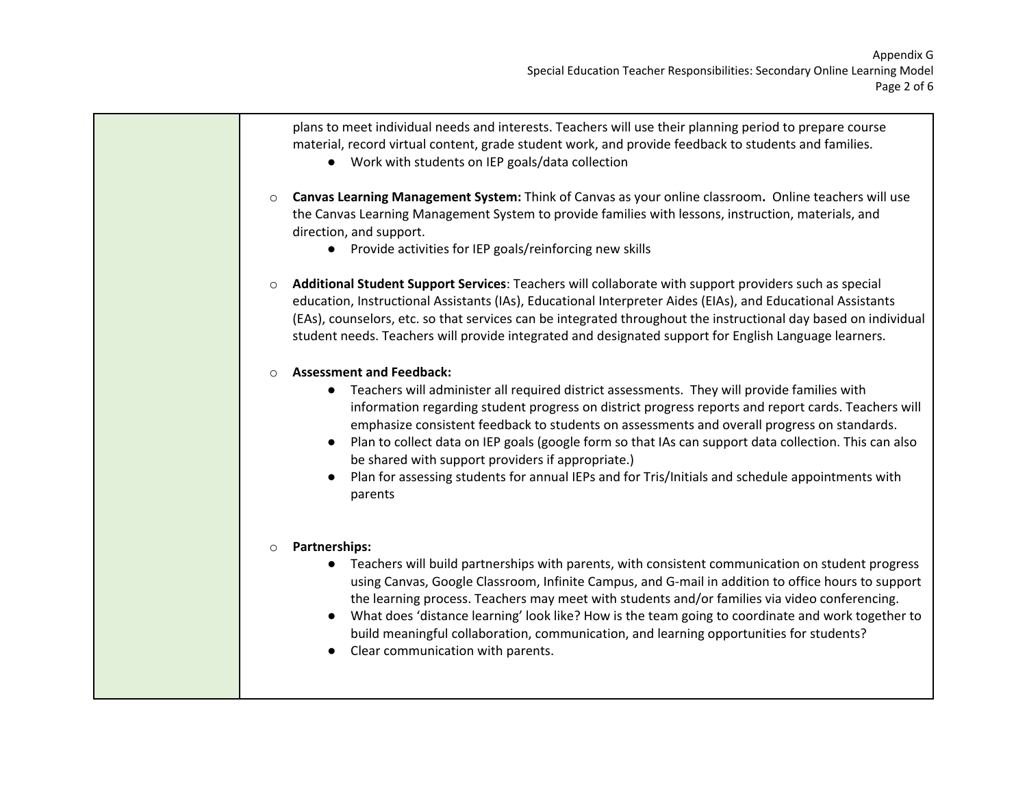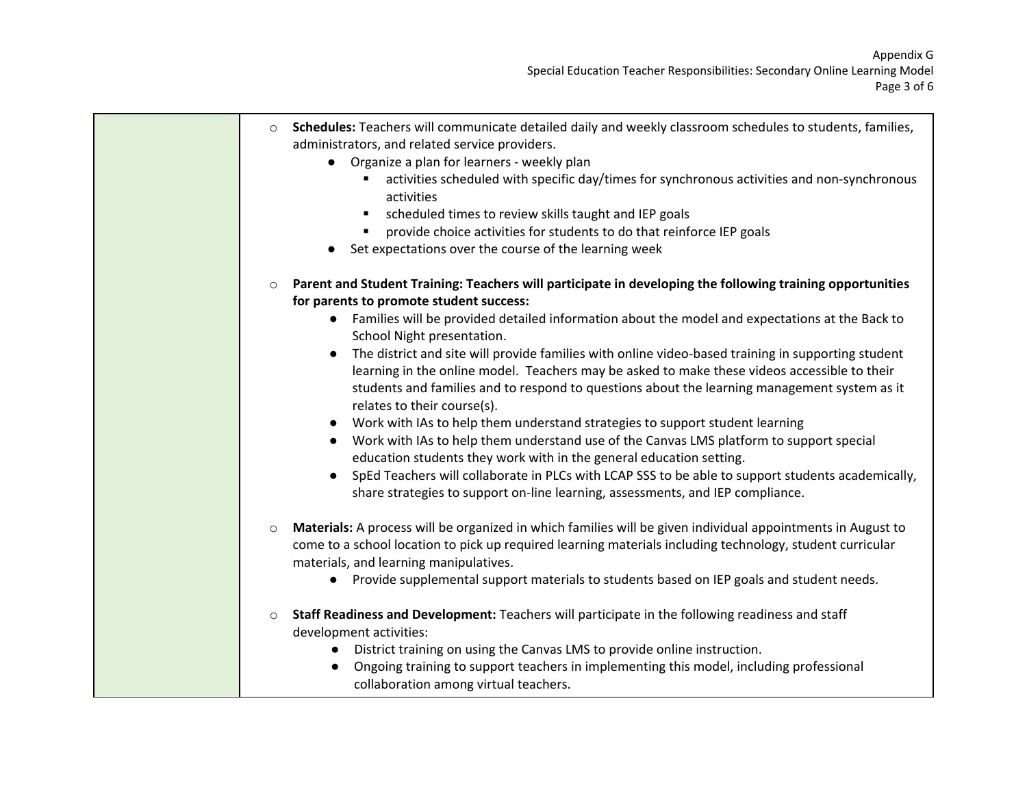| $\circ$ | Schedules: Teachers will communicate detailed daily and weekly classroom schedules to students, families,<br>administrators, and related service providers.<br>• Organize a plan for learners - weekly plan                                                                                                                       |
|---------|-----------------------------------------------------------------------------------------------------------------------------------------------------------------------------------------------------------------------------------------------------------------------------------------------------------------------------------|
|         | activities scheduled with specific day/times for synchronous activities and non-synchronous<br>activities                                                                                                                                                                                                                         |
|         | scheduled times to review skills taught and IEP goals<br>٠                                                                                                                                                                                                                                                                        |
|         | provide choice activities for students to do that reinforce IEP goals                                                                                                                                                                                                                                                             |
|         | Set expectations over the course of the learning week                                                                                                                                                                                                                                                                             |
| $\circ$ | Parent and Student Training: Teachers will participate in developing the following training opportunities<br>for parents to promote student success:                                                                                                                                                                              |
|         | Families will be provided detailed information about the model and expectations at the Back to<br>School Night presentation.                                                                                                                                                                                                      |
|         | The district and site will provide families with online video-based training in supporting student<br>learning in the online model. Teachers may be asked to make these videos accessible to their<br>students and families and to respond to questions about the learning management system as it<br>relates to their course(s). |
|         | Work with IAs to help them understand strategies to support student learning<br>Work with IAs to help them understand use of the Canvas LMS platform to support special<br>$\bullet$<br>education students they work with in the general education setting.                                                                       |
|         | SpEd Teachers will collaborate in PLCs with LCAP SSS to be able to support students academically,<br>share strategies to support on-line learning, assessments, and IEP compliance.                                                                                                                                               |
| $\circ$ | Materials: A process will be organized in which families will be given individual appointments in August to<br>come to a school location to pick up required learning materials including technology, student curricular<br>materials, and learning manipulatives.                                                                |
|         | Provide supplemental support materials to students based on IEP goals and student needs.<br>$\bullet$                                                                                                                                                                                                                             |
| $\circ$ | Staff Readiness and Development: Teachers will participate in the following readiness and staff<br>development activities:                                                                                                                                                                                                        |
|         | District training on using the Canvas LMS to provide online instruction.                                                                                                                                                                                                                                                          |
|         | Ongoing training to support teachers in implementing this model, including professional<br>collaboration among virtual teachers.                                                                                                                                                                                                  |
|         |                                                                                                                                                                                                                                                                                                                                   |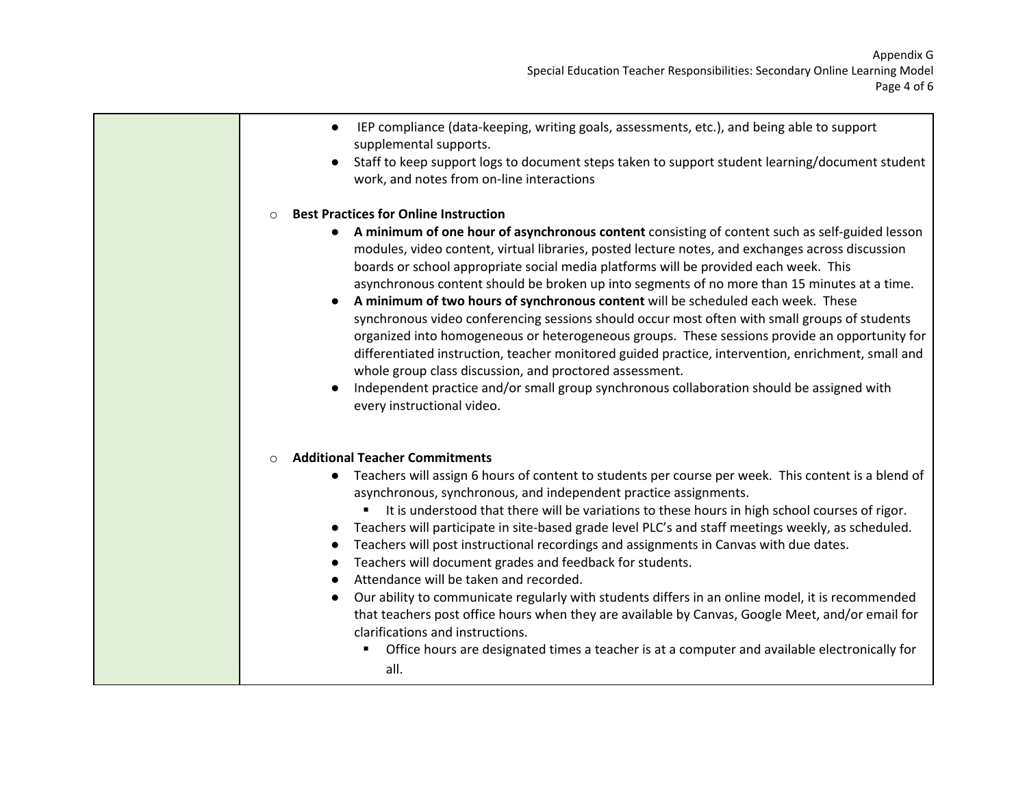- IEP compliance (data-keeping, writing goals, assessments, etc.), and being able to support supplemental supports.
- Staff to keep support logs to document steps taken to support student learning/document student work, and notes from on-line interactions

#### o **Best Practices for Online Instruction**

- **A minimum of one hour of asynchronous content** consisting of content such as self-guided lesson modules, video content, virtual libraries, posted lecture notes, and exchanges across discussion boards or school appropriate social media platforms will be provided each week. This asynchronous content should be broken up into segments of no more than 15 minutes at a time.
- **A minimum of two hours of synchronous content** will be scheduled each week. These synchronous video conferencing sessions should occur most often with small groups of students organized into homogeneous or heterogeneous groups. These sessions provide an opportunity for differentiated instruction, teacher monitored guided practice, intervention, enrichment, small and whole group class discussion, and proctored assessment.
- Independent practice and/or small group synchronous collaboration should be assigned with every instructional video.

#### o **Additional Teacher Commitments**

- Teachers will assign 6 hours of content to students per course per week. This content is a blend of asynchronous, synchronous, and independent practice assignments.
	- It is understood that there will be variations to these hours in high school courses of rigor.
- Teachers will participate in site-based grade level PLC's and staff meetings weekly, as scheduled.
- Teachers will post instructional recordings and assignments in Canvas with due dates.
- Teachers will document grades and feedback for students.
- Attendance will be taken and recorded.
- Our ability to communicate regularly with students differs in an online model, it is recommended that teachers post office hours when they are available by Canvas, Google Meet, and/or email for clarifications and instructions.
	- **The Straig Let also is a teach in a straight a** computer and available electronically for straight and  $\alpha$ all.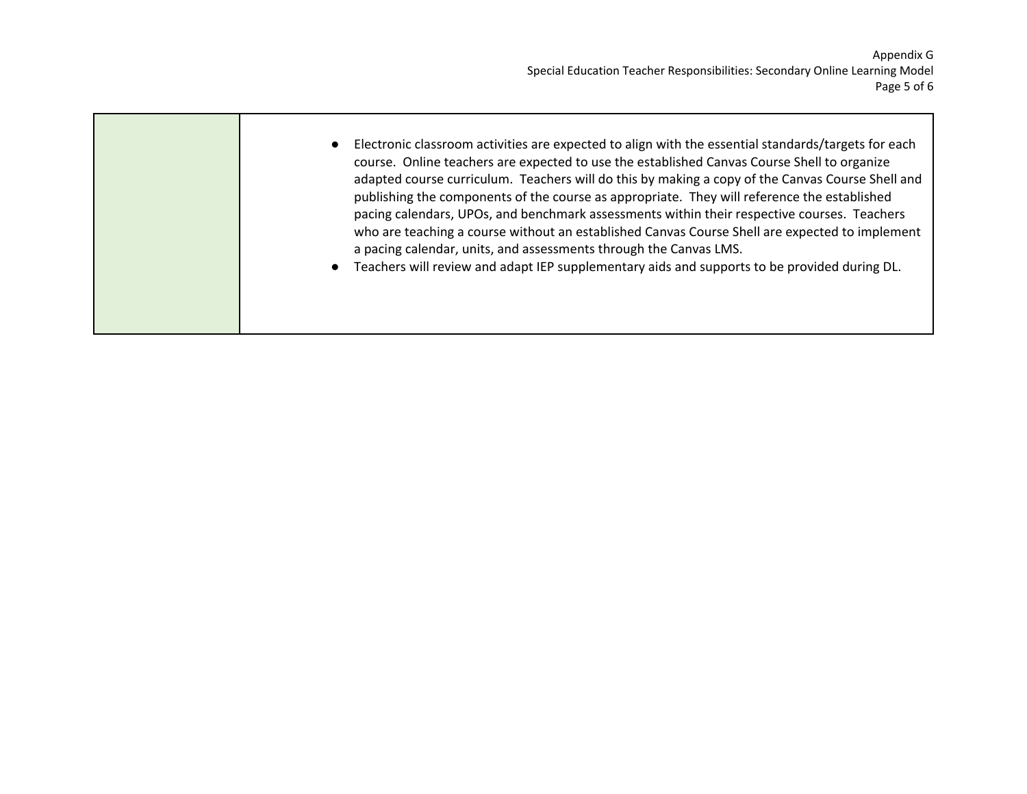| Electronic classroom activities are expected to align with the essential standards/targets for each<br>$\bullet$<br>course. Online teachers are expected to use the established Canvas Course Shell to organize<br>adapted course curriculum. Teachers will do this by making a copy of the Canvas Course Shell and<br>publishing the components of the course as appropriate. They will reference the established<br>pacing calendars, UPOs, and benchmark assessments within their respective courses. Teachers<br>who are teaching a course without an established Canvas Course Shell are expected to implement<br>a pacing calendar, units, and assessments through the Canvas LMS.<br>Teachers will review and adapt IEP supplementary aids and supports to be provided during DL.<br>$\bullet$ |
|-------------------------------------------------------------------------------------------------------------------------------------------------------------------------------------------------------------------------------------------------------------------------------------------------------------------------------------------------------------------------------------------------------------------------------------------------------------------------------------------------------------------------------------------------------------------------------------------------------------------------------------------------------------------------------------------------------------------------------------------------------------------------------------------------------|
|                                                                                                                                                                                                                                                                                                                                                                                                                                                                                                                                                                                                                                                                                                                                                                                                       |

 $\mathcal{L}^{\text{max}}$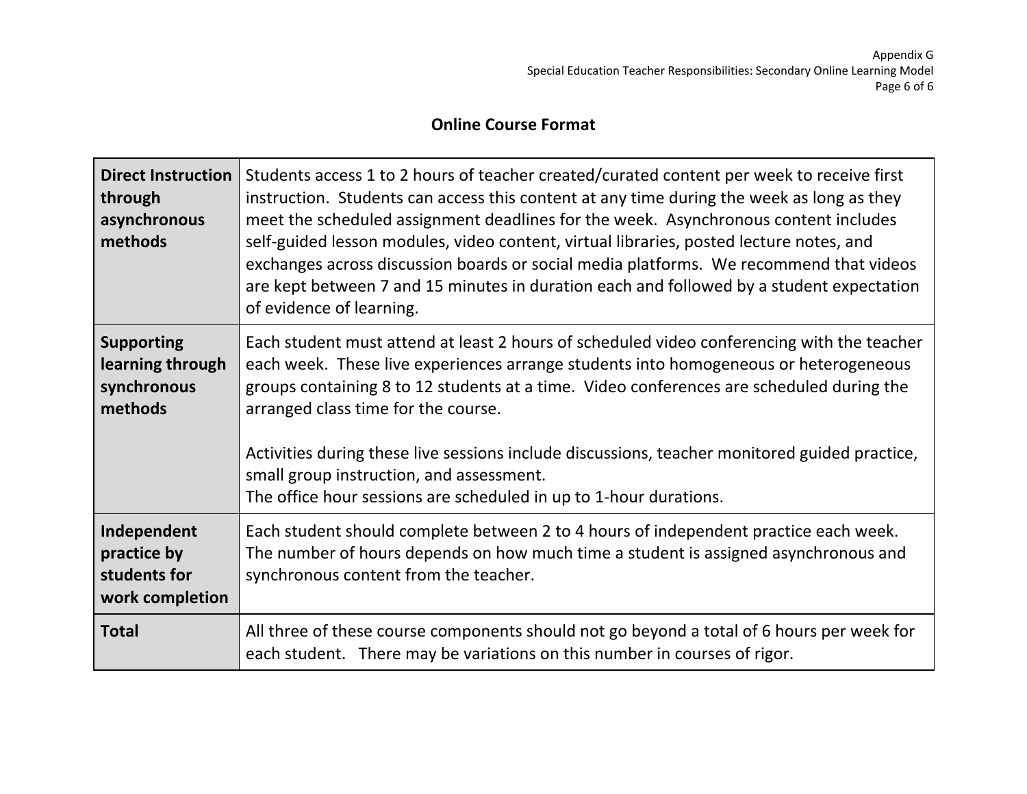## **Online Course Format**

| <b>Direct Instruction</b><br>through<br>asynchronous<br>methods | Students access 1 to 2 hours of teacher created/curated content per week to receive first<br>instruction. Students can access this content at any time during the week as long as they<br>meet the scheduled assignment deadlines for the week. Asynchronous content includes<br>self-guided lesson modules, video content, virtual libraries, posted lecture notes, and<br>exchanges across discussion boards or social media platforms. We recommend that videos<br>are kept between 7 and 15 minutes in duration each and followed by a student expectation<br>of evidence of learning. |
|-----------------------------------------------------------------|--------------------------------------------------------------------------------------------------------------------------------------------------------------------------------------------------------------------------------------------------------------------------------------------------------------------------------------------------------------------------------------------------------------------------------------------------------------------------------------------------------------------------------------------------------------------------------------------|
| <b>Supporting</b><br>learning through<br>synchronous<br>methods | Each student must attend at least 2 hours of scheduled video conferencing with the teacher<br>each week. These live experiences arrange students into homogeneous or heterogeneous<br>groups containing 8 to 12 students at a time. Video conferences are scheduled during the<br>arranged class time for the course.<br>Activities during these live sessions include discussions, teacher monitored guided practice,<br>small group instruction, and assessment.<br>The office hour sessions are scheduled in up to 1-hour durations.                                                    |
| Independent<br>practice by<br>students for<br>work completion   | Each student should complete between 2 to 4 hours of independent practice each week.<br>The number of hours depends on how much time a student is assigned asynchronous and<br>synchronous content from the teacher.                                                                                                                                                                                                                                                                                                                                                                       |
| <b>Total</b>                                                    | All three of these course components should not go beyond a total of 6 hours per week for<br>each student. There may be variations on this number in courses of rigor.                                                                                                                                                                                                                                                                                                                                                                                                                     |